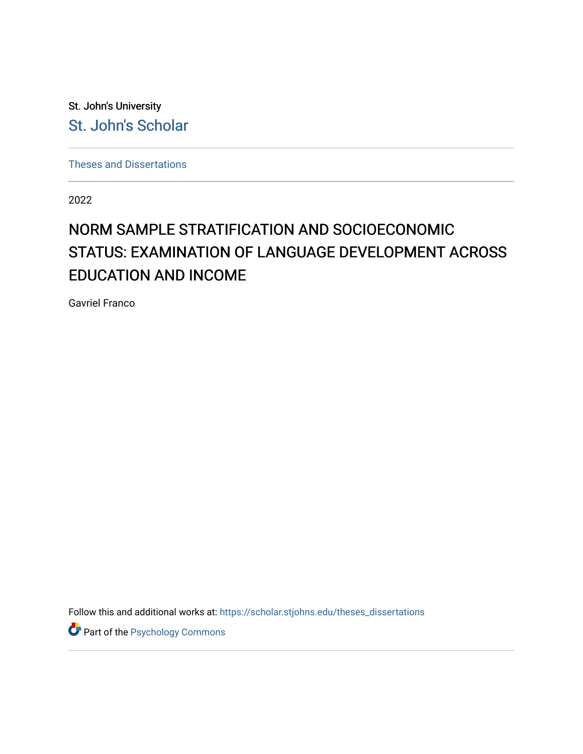St. John's University [St. John's Scholar](https://scholar.stjohns.edu/) 

[Theses and Dissertations](https://scholar.stjohns.edu/theses_dissertations)

2022

# NORM SAMPLE STRATIFICATION AND SOCIOECONOMIC STATUS: EXAMINATION OF LANGUAGE DEVELOPMENT ACROSS EDUCATION AND INCOME

Gavriel Franco

Follow this and additional works at: [https://scholar.stjohns.edu/theses\\_dissertations](https://scholar.stjohns.edu/theses_dissertations?utm_source=scholar.stjohns.edu%2Ftheses_dissertations%2F419&utm_medium=PDF&utm_campaign=PDFCoverPages)

Part of the [Psychology Commons](https://network.bepress.com/hgg/discipline/404?utm_source=scholar.stjohns.edu%2Ftheses_dissertations%2F419&utm_medium=PDF&utm_campaign=PDFCoverPages)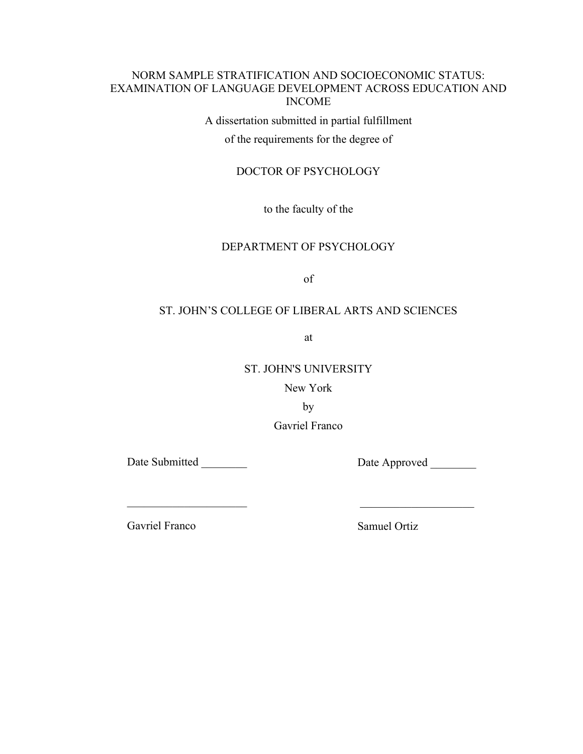# NORM SAMPLE STRATIFICATION AND SOCIOECONOMIC STATUS: EXAMINATION OF LANGUAGE DEVELOPMENT ACROSS EDUCATION AND INCOME

A dissertation submitted in partial fulfillment

of the requirements for the degree of

# DOCTOR OF PSYCHOLOGY

to the faculty of the

# DEPARTMENT OF PSYCHOLOGY

of

# ST. JOHN'S COLLEGE OF LIBERAL ARTS AND SCIENCES

at

# ST. JOHN'S UNIVERSITY

New York

by

Gavriel Franco

Date Submitted

\_\_\_\_\_\_\_\_\_\_\_\_\_\_\_\_\_\_\_\_\_

Date Approved

Gavriel Franco

Samuel Ortiz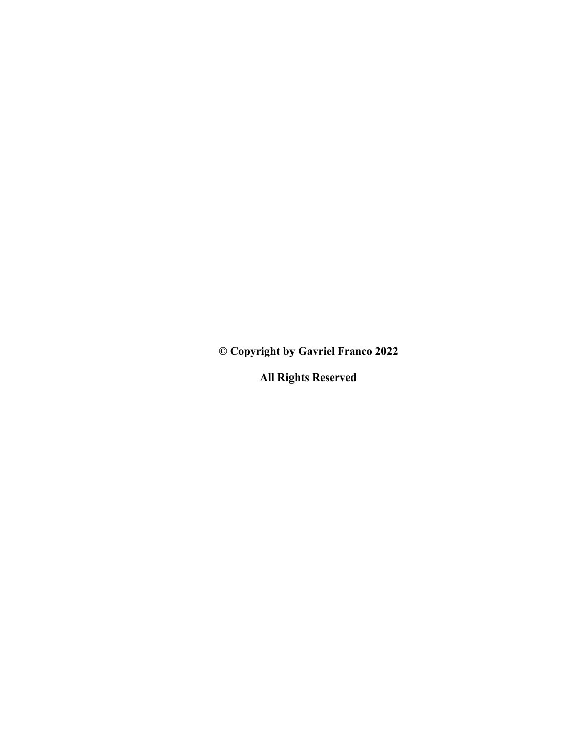**© Copyright by Gavriel Franco 2022**

**All Rights Reserved**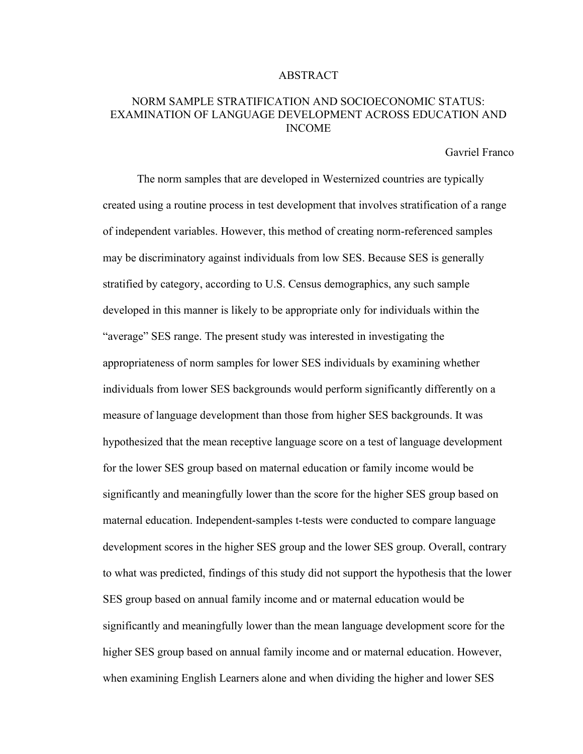# ABSTRACT

# NORM SAMPLE STRATIFICATION AND SOCIOECONOMIC STATUS: EXAMINATION OF LANGUAGE DEVELOPMENT ACROSS EDUCATION AND INCOME

Gavriel Franco

The norm samples that are developed in Westernized countries are typically created using a routine process in test development that involves stratification of a range of independent variables. However, this method of creating norm-referenced samples may be discriminatory against individuals from low SES. Because SES is generally stratified by category, according to U.S. Census demographics, any such sample developed in this manner is likely to be appropriate only for individuals within the "average" SES range. The present study was interested in investigating the appropriateness of norm samples for lower SES individuals by examining whether individuals from lower SES backgrounds would perform significantly differently on a measure of language development than those from higher SES backgrounds. It was hypothesized that the mean receptive language score on a test of language development for the lower SES group based on maternal education or family income would be significantly and meaningfully lower than the score for the higher SES group based on maternal education. Independent-samples t-tests were conducted to compare language development scores in the higher SES group and the lower SES group. Overall, contrary to what was predicted, findings of this study did not support the hypothesis that the lower SES group based on annual family income and or maternal education would be significantly and meaningfully lower than the mean language development score for the higher SES group based on annual family income and or maternal education. However, when examining English Learners alone and when dividing the higher and lower SES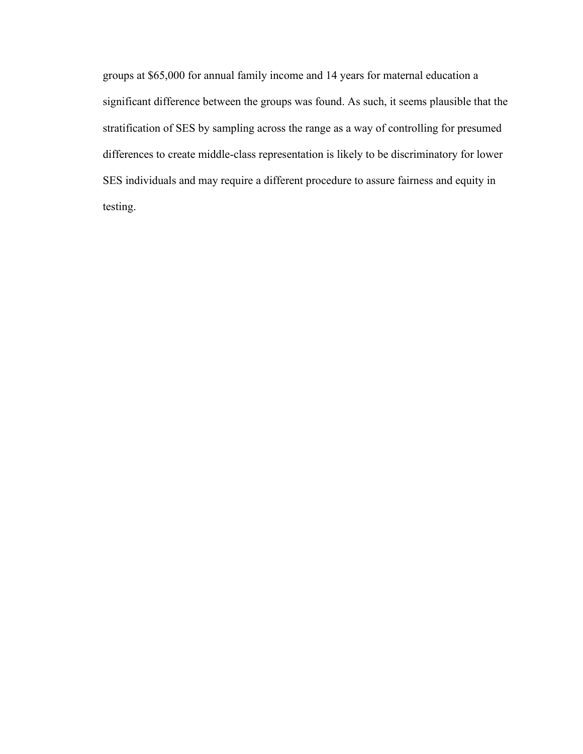groups at \$65,000 for annual family income and 14 years for maternal education a significant difference between the groups was found. As such, it seems plausible that the stratification of SES by sampling across the range as a way of controlling for presumed differences to create middle-class representation is likely to be discriminatory for lower SES individuals and may require a different procedure to assure fairness and equity in testing.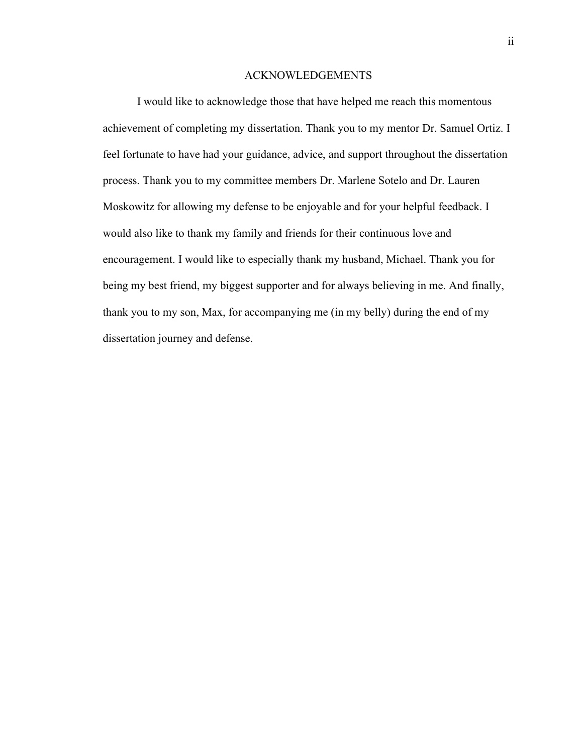### ACKNOWLEDGEMENTS

I would like to acknowledge those that have helped me reach this momentous achievement of completing my dissertation. Thank you to my mentor Dr. Samuel Ortiz. I feel fortunate to have had your guidance, advice, and support throughout the dissertation process. Thank you to my committee members Dr. Marlene Sotelo and Dr. Lauren Moskowitz for allowing my defense to be enjoyable and for your helpful feedback. I would also like to thank my family and friends for their continuous love and encouragement. I would like to especially thank my husband, Michael. Thank you for being my best friend, my biggest supporter and for always believing in me. And finally, thank you to my son, Max, for accompanying me (in my belly) during the end of my dissertation journey and defense.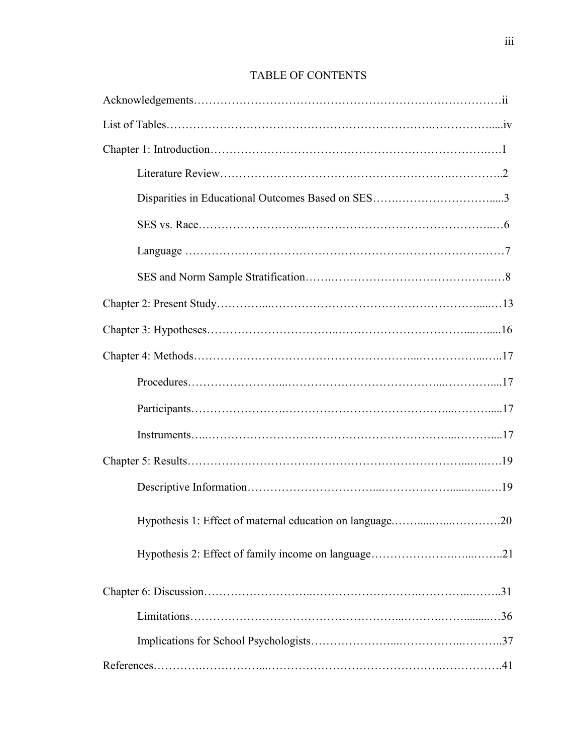# TABLE OF CONTENTS

| Hypothesis 1: Effect of maternal education on language20 |
|----------------------------------------------------------|
|                                                          |
|                                                          |
|                                                          |
|                                                          |
|                                                          |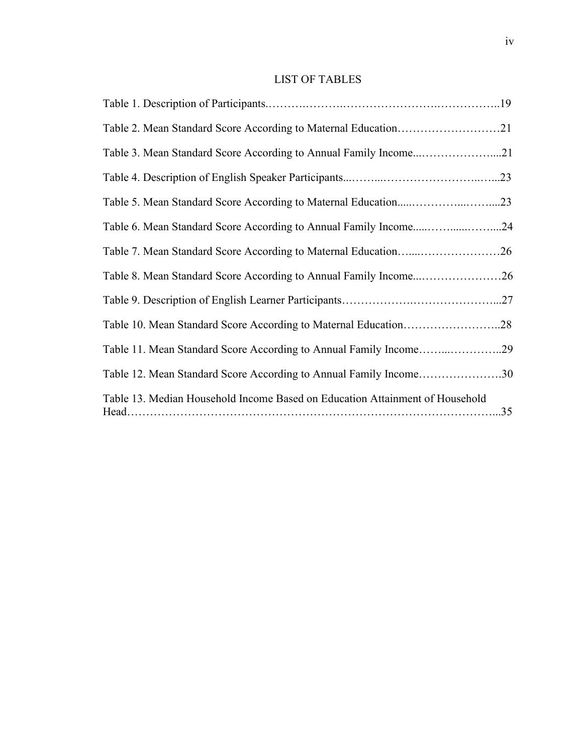# LIST OF TABLES

| Table 2. Mean Standard Score According to Maternal Education21               |  |
|------------------------------------------------------------------------------|--|
| Table 3. Mean Standard Score According to Annual Family Income21             |  |
|                                                                              |  |
|                                                                              |  |
| Table 6. Mean Standard Score According to Annual Family Income24             |  |
| Table 7. Mean Standard Score According to Maternal Education26               |  |
| Table 8. Mean Standard Score According to Annual Family Income26             |  |
|                                                                              |  |
|                                                                              |  |
| Table 11. Mean Standard Score According to Annual Family Income29            |  |
| Table 12. Mean Standard Score According to Annual Family Income30            |  |
| Table 13. Median Household Income Based on Education Attainment of Household |  |
|                                                                              |  |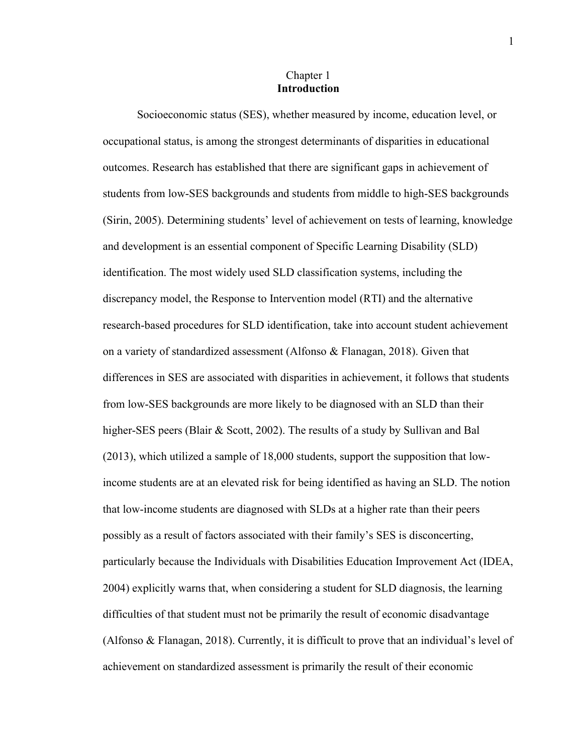# Chapter 1 **Introduction**

Socioeconomic status (SES), whether measured by income, education level, or occupational status, is among the strongest determinants of disparities in educational outcomes. Research has established that there are significant gaps in achievement of students from low-SES backgrounds and students from middle to high-SES backgrounds (Sirin, 2005). Determining students' level of achievement on tests of learning, knowledge and development is an essential component of Specific Learning Disability (SLD) identification. The most widely used SLD classification systems, including the discrepancy model, the Response to Intervention model (RTI) and the alternative research-based procedures for SLD identification, take into account student achievement on a variety of standardized assessment (Alfonso & Flanagan, 2018). Given that differences in SES are associated with disparities in achievement, it follows that students from low-SES backgrounds are more likely to be diagnosed with an SLD than their higher-SES peers (Blair & Scott, 2002). The results of a study by Sullivan and Bal (2013), which utilized a sample of 18,000 students, support the supposition that lowincome students are at an elevated risk for being identified as having an SLD. The notion that low-income students are diagnosed with SLDs at a higher rate than their peers possibly as a result of factors associated with their family's SES is disconcerting, particularly because the Individuals with Disabilities Education Improvement Act (IDEA, 2004) explicitly warns that, when considering a student for SLD diagnosis, the learning difficulties of that student must not be primarily the result of economic disadvantage (Alfonso & Flanagan, 2018). Currently, it is difficult to prove that an individual's level of achievement on standardized assessment is primarily the result of their economic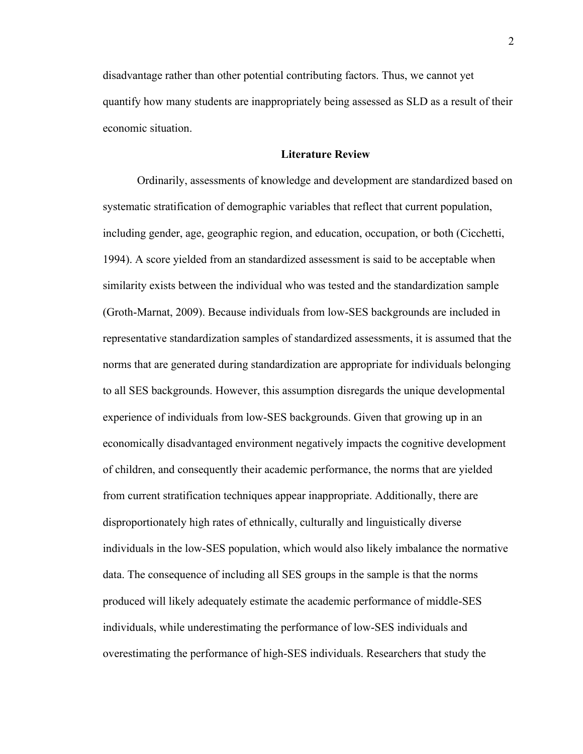disadvantage rather than other potential contributing factors. Thus, we cannot yet quantify how many students are inappropriately being assessed as SLD as a result of their economic situation.

# **Literature Review**

Ordinarily, assessments of knowledge and development are standardized based on systematic stratification of demographic variables that reflect that current population, including gender, age, geographic region, and education, occupation, or both (Cicchetti, 1994). A score yielded from an standardized assessment is said to be acceptable when similarity exists between the individual who was tested and the standardization sample (Groth-Marnat, 2009). Because individuals from low-SES backgrounds are included in representative standardization samples of standardized assessments, it is assumed that the norms that are generated during standardization are appropriate for individuals belonging to all SES backgrounds. However, this assumption disregards the unique developmental experience of individuals from low-SES backgrounds. Given that growing up in an economically disadvantaged environment negatively impacts the cognitive development of children, and consequently their academic performance, the norms that are yielded from current stratification techniques appear inappropriate. Additionally, there are disproportionately high rates of ethnically, culturally and linguistically diverse individuals in the low-SES population, which would also likely imbalance the normative data. The consequence of including all SES groups in the sample is that the norms produced will likely adequately estimate the academic performance of middle-SES individuals, while underestimating the performance of low-SES individuals and overestimating the performance of high-SES individuals. Researchers that study the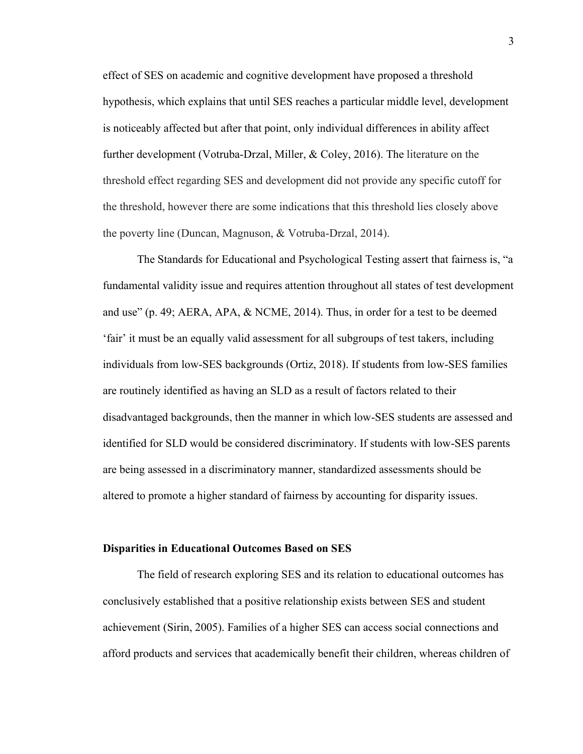effect of SES on academic and cognitive development have proposed a threshold hypothesis, which explains that until SES reaches a particular middle level, development is noticeably affected but after that point, only individual differences in ability affect further development (Votruba-Drzal, Miller, & Coley, 2016). The literature on the threshold effect regarding SES and development did not provide any specific cutoff for the threshold, however there are some indications that this threshold lies closely above the poverty line (Duncan, Magnuson, & Votruba-Drzal, 2014).

The Standards for Educational and Psychological Testing assert that fairness is, "a fundamental validity issue and requires attention throughout all states of test development and use" (p. 49; AERA, APA, & NCME, 2014). Thus, in order for a test to be deemed 'fair' it must be an equally valid assessment for all subgroups of test takers, including individuals from low-SES backgrounds (Ortiz, 2018). If students from low-SES families are routinely identified as having an SLD as a result of factors related to their disadvantaged backgrounds, then the manner in which low-SES students are assessed and identified for SLD would be considered discriminatory. If students with low-SES parents are being assessed in a discriminatory manner, standardized assessments should be altered to promote a higher standard of fairness by accounting for disparity issues.

#### **Disparities in Educational Outcomes Based on SES**

The field of research exploring SES and its relation to educational outcomes has conclusively established that a positive relationship exists between SES and student achievement (Sirin, 2005). Families of a higher SES can access social connections and afford products and services that academically benefit their children, whereas children of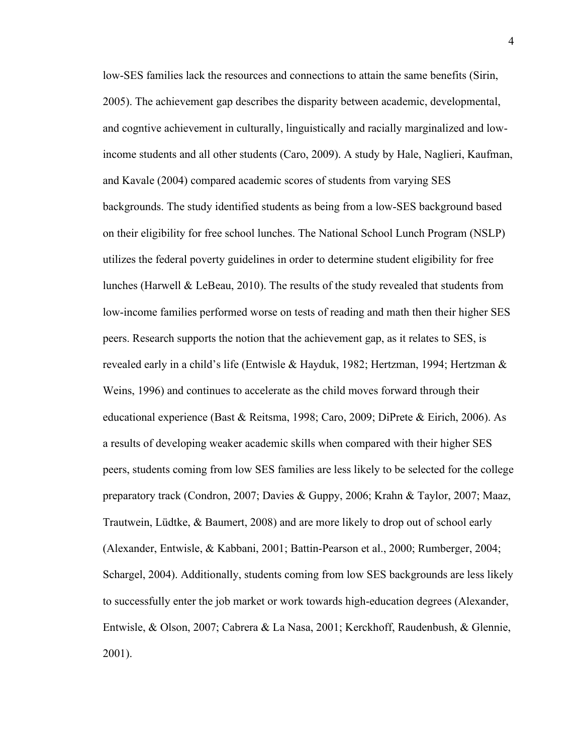low-SES families lack the resources and connections to attain the same benefits (Sirin, 2005). The achievement gap describes the disparity between academic, developmental, and cogntive achievement in culturally, linguistically and racially marginalized and lowincome students and all other students (Caro, 2009). A study by Hale, Naglieri, Kaufman, and Kavale (2004) compared academic scores of students from varying SES backgrounds. The study identified students as being from a low-SES background based on their eligibility for free school lunches. The National School Lunch Program (NSLP) utilizes the federal poverty guidelines in order to determine student eligibility for free lunches (Harwell  $\&$  LeBeau, 2010). The results of the study revealed that students from low-income families performed worse on tests of reading and math then their higher SES peers. Research supports the notion that the achievement gap, as it relates to SES, is revealed early in a child's life (Entwisle & Hayduk, 1982; Hertzman, 1994; Hertzman & Weins, 1996) and continues to accelerate as the child moves forward through their educational experience (Bast & Reitsma, 1998; Caro, 2009; DiPrete & Eirich, 2006). As a results of developing weaker academic skills when compared with their higher SES peers, students coming from low SES families are less likely to be selected for the college preparatory track (Condron, 2007; Davies & Guppy, 2006; Krahn & Taylor, 2007; Maaz, Trautwein, Lüdtke, & Baumert, 2008) and are more likely to drop out of school early (Alexander, Entwisle, & Kabbani, 2001; Battin‐Pearson et al., 2000; Rumberger, 2004; Schargel, 2004). Additionally, students coming from low SES backgrounds are less likely to successfully enter the job market or work towards high-education degrees (Alexander, Entwisle, & Olson, 2007; Cabrera & La Nasa, 2001; Kerckhoff, Raudenbush, & Glennie, 2001).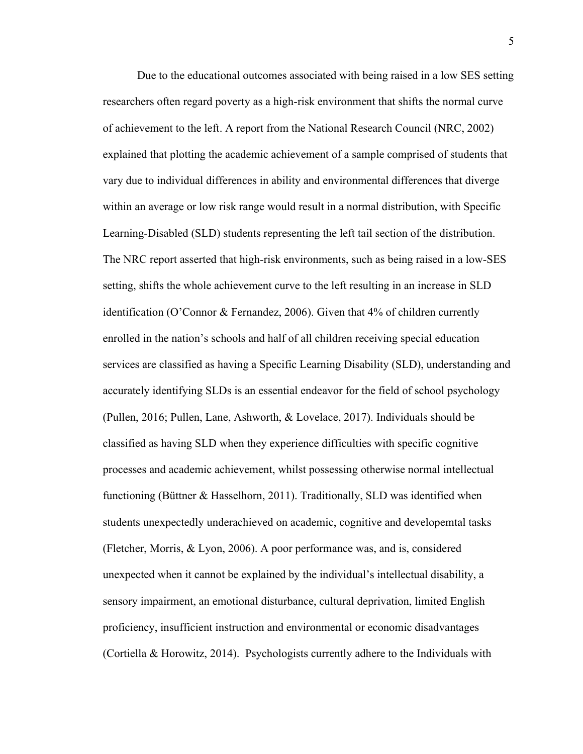Due to the educational outcomes associated with being raised in a low SES setting researchers often regard poverty as a high-risk environment that shifts the normal curve of achievement to the left. A report from the National Research Council (NRC, 2002) explained that plotting the academic achievement of a sample comprised of students that vary due to individual differences in ability and environmental differences that diverge within an average or low risk range would result in a normal distribution, with Specific Learning-Disabled (SLD) students representing the left tail section of the distribution. The NRC report asserted that high-risk environments, such as being raised in a low-SES setting, shifts the whole achievement curve to the left resulting in an increase in SLD identification (O'Connor & Fernandez, 2006). Given that 4% of children currently enrolled in the nation's schools and half of all children receiving special education services are classified as having a Specific Learning Disability (SLD), understanding and accurately identifying SLDs is an essential endeavor for the field of school psychology (Pullen, 2016; Pullen, Lane, Ashworth, & Lovelace, 2017). Individuals should be classified as having SLD when they experience difficulties with specific cognitive processes and academic achievement, whilst possessing otherwise normal intellectual functioning (Büttner & Hasselhorn, 2011). Traditionally, SLD was identified when students unexpectedly underachieved on academic, cognitive and developemtal tasks (Fletcher, Morris, & Lyon, 2006). A poor performance was, and is, considered unexpected when it cannot be explained by the individual's intellectual disability, a sensory impairment, an emotional disturbance, cultural deprivation, limited English proficiency, insufficient instruction and environmental or economic disadvantages (Cortiella & Horowitz, 2014). Psychologists currently adhere to the Individuals with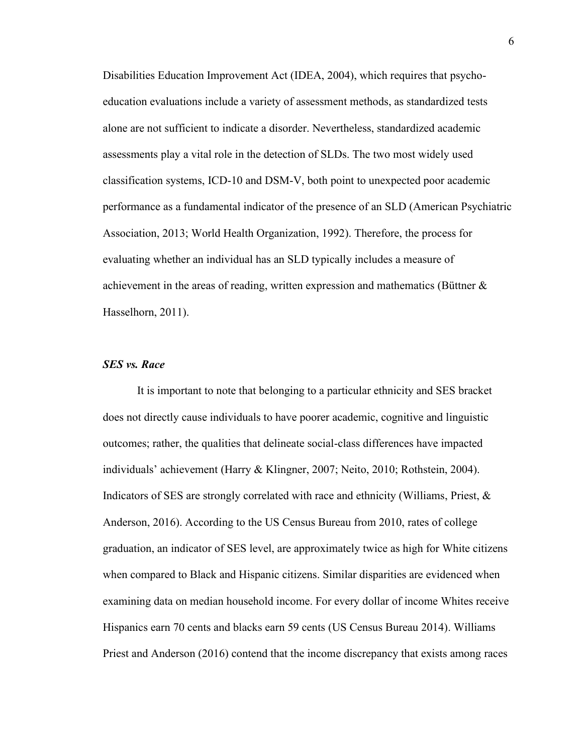Disabilities Education Improvement Act (IDEA, 2004), which requires that psychoeducation evaluations include a variety of assessment methods, as standardized tests alone are not sufficient to indicate a disorder. Nevertheless, standardized academic assessments play a vital role in the detection of SLDs. The two most widely used classification systems, ICD-10 and DSM-V, both point to unexpected poor academic performance as a fundamental indicator of the presence of an SLD (American Psychiatric Association, 2013; World Health Organization, 1992). Therefore, the process for evaluating whether an individual has an SLD typically includes a measure of achievement in the areas of reading, written expression and mathematics (Büttner  $\&$ Hasselhorn, 2011).

## *SES vs. Race*

It is important to note that belonging to a particular ethnicity and SES bracket does not directly cause individuals to have poorer academic, cognitive and linguistic outcomes; rather, the qualities that delineate social-class differences have impacted individuals' achievement (Harry & Klingner, 2007; Neito, 2010; Rothstein, 2004). Indicators of SES are strongly correlated with race and ethnicity (Williams, Priest, & Anderson, 2016). According to the US Census Bureau from 2010, rates of college graduation, an indicator of SES level, are approximately twice as high for White citizens when compared to Black and Hispanic citizens. Similar disparities are evidenced when examining data on median household income. For every dollar of income Whites receive Hispanics earn 70 cents and blacks earn 59 cents (US Census Bureau 2014). Williams Priest and Anderson (2016) contend that the income discrepancy that exists among races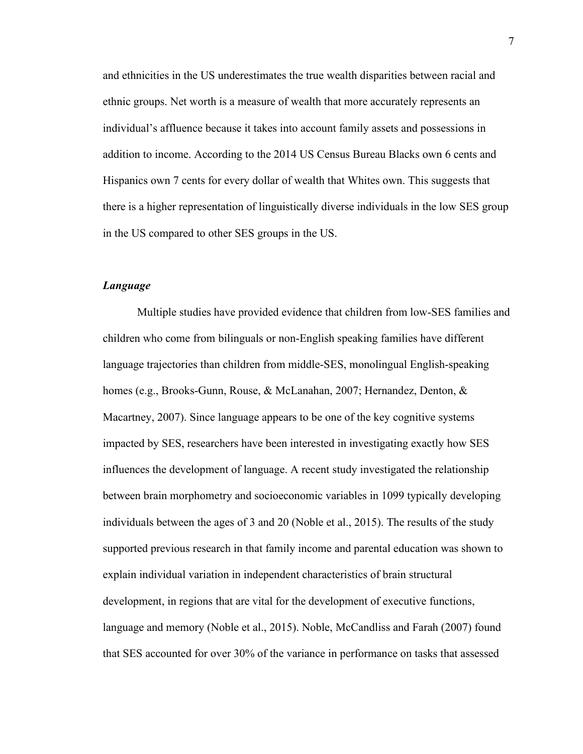and ethnicities in the US underestimates the true wealth disparities between racial and ethnic groups. Net worth is a measure of wealth that more accurately represents an individual's affluence because it takes into account family assets and possessions in addition to income. According to the 2014 US Census Bureau Blacks own 6 cents and Hispanics own 7 cents for every dollar of wealth that Whites own. This suggests that there is a higher representation of linguistically diverse individuals in the low SES group in the US compared to other SES groups in the US.

# *Language*

Multiple studies have provided evidence that children from low-SES families and children who come from bilinguals or non-English speaking families have different language trajectories than children from middle-SES, monolingual English-speaking homes (e.g., [Brooks-Gunn, Rouse, & McLanahan, 2007;](https://www.ncbi.nlm.nih.gov/pmc/articles/PMC4061698/#R14) [Hernandez, Denton, &](https://www.ncbi.nlm.nih.gov/pmc/articles/PMC4061698/#R48)  [Macartney, 2007\)](https://www.ncbi.nlm.nih.gov/pmc/articles/PMC4061698/#R48). Since language appears to be one of the key cognitive systems impacted by SES, researchers have been interested in investigating exactly how SES influences the development of language. A recent study investigated the relationship between brain morphometry and socioeconomic variables in 1099 typically developing individuals between the ages of 3 and 20 (Noble et al., 2015). The results of the study supported previous research in that family income and parental education was shown to explain individual variation in independent characteristics of brain structural development, in regions that are vital for the development of executive functions, language and memory (Noble et al., 2015). Noble, McCandliss and Farah (2007) found that SES accounted for over 30% of the variance in performance on tasks that assessed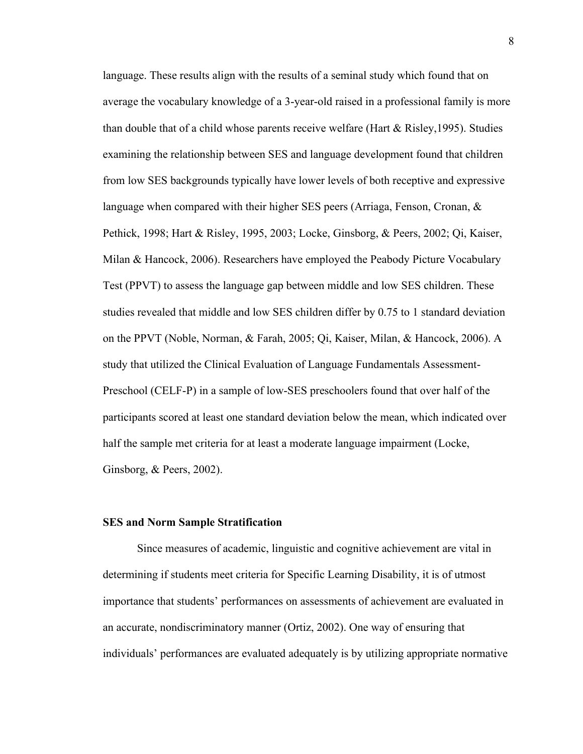language. These results align with the results of a seminal study which found that on average the vocabulary knowledge of a 3-year-old raised in a professional family is more than double that of a child whose parents receive welfare (Hart & Risley,1995). Studies examining the relationship between SES and language development found that children from low SES backgrounds typically have lower levels of both receptive and expressive language when compared with their higher SES peers (Arriaga, Fenson, Cronan, & Pethick, 1998; Hart & Risley, 1995, 2003; Locke, Ginsborg, & Peers, 2002; Qi, Kaiser, Milan & Hancock, 2006). Researchers have employed the Peabody Picture Vocabulary Test (PPVT) to assess the language gap between middle and low SES children. These studies revealed that middle and low SES children differ by 0.75 to 1 standard deviation on the PPVT (Noble, Norman, & Farah, 2005; Qi, Kaiser, Milan, & Hancock, 2006). A study that utilized the Clinical Evaluation of Language Fundamentals Assessment-Preschool (CELF-P) in a sample of low-SES preschoolers found that over half of the participants scored at least one standard deviation below the mean, which indicated over half the sample met criteria for at least a moderate language impairment (Locke, Ginsborg, & Peers, 2002).

#### **SES and Norm Sample Stratification**

Since measures of academic, linguistic and cognitive achievement are vital in determining if students meet criteria for Specific Learning Disability, it is of utmost importance that students' performances on assessments of achievement are evaluated in an accurate, nondiscriminatory manner (Ortiz, 2002). One way of ensuring that individuals' performances are evaluated adequately is by utilizing appropriate normative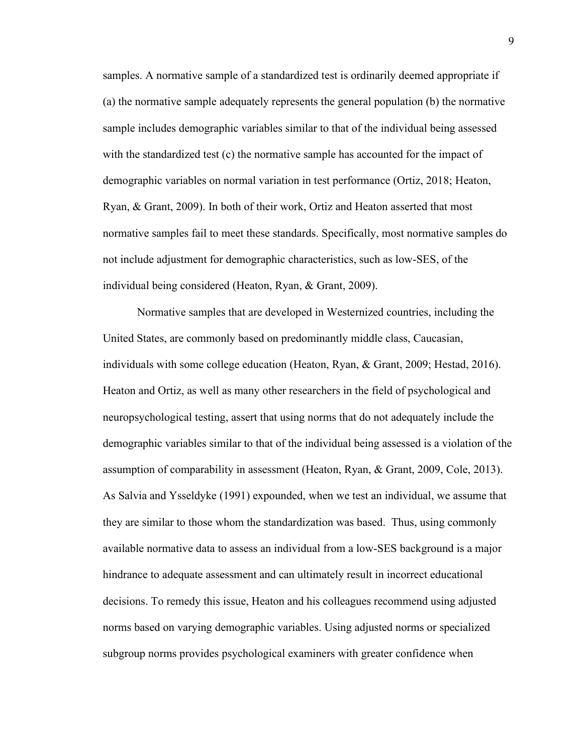samples. A normative sample of a standardized test is ordinarily deemed appropriate if (a) the normative sample adequately represents the general population (b) the normative sample includes demographic variables similar to that of the individual being assessed with the standardized test (c) the normative sample has accounted for the impact of demographic variables on normal variation in test performance (Ortiz, 2018; Heaton, Ryan, & Grant, 2009). In both of their work, Ortiz and Heaton asserted that most normative samples fail to meet these standards. Specifically, most normative samples do not include adjustment for demographic characteristics, such as low-SES, of the individual being considered (Heaton, Ryan, & Grant, 2009).

Normative samples that are developed in Westernized countries, including the United States, are commonly based on predominantly middle class, Caucasian, individuals with some college education (Heaton, Ryan, & Grant, 2009; Hestad, 2016). Heaton and Ortiz, as well as many other researchers in the field of psychological and neuropsychological testing, assert that using norms that do not adequately include the demographic variables similar to that of the individual being assessed is a violation of the assumption of comparability in assessment (Heaton, Ryan, & Grant, 2009, Cole, 2013). As Salvia and Ysseldyke (1991) expounded, when we test an individual, we assume that they are similar to those whom the standardization was based. Thus, using commonly available normative data to assess an individual from a low-SES background is a major hindrance to adequate assessment and can ultimately result in incorrect educational decisions. To remedy this issue, Heaton and his colleagues recommend using adjusted norms based on varying demographic variables. Using adjusted norms or specialized subgroup norms provides psychological examiners with greater confidence when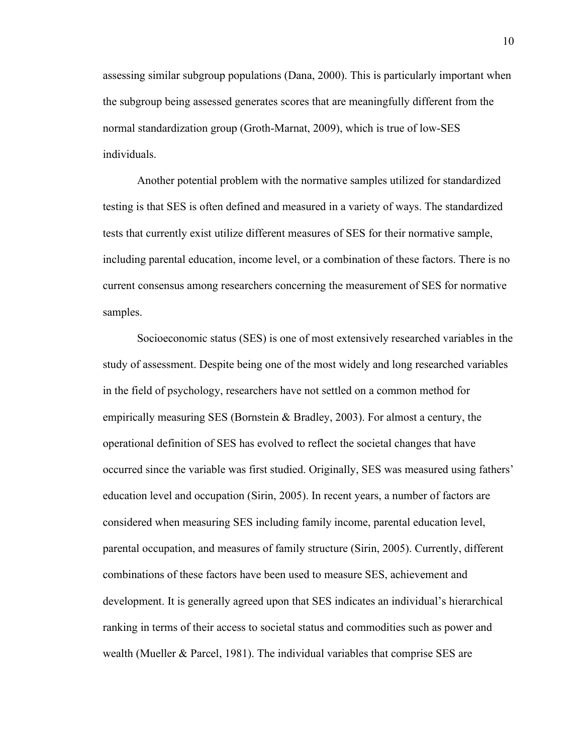assessing similar subgroup populations (Dana, 2000). This is particularly important when the subgroup being assessed generates scores that are meaningfully different from the normal standardization group (Groth-Marnat, 2009), which is true of low-SES individuals.

Another potential problem with the normative samples utilized for standardized testing is that SES is often defined and measured in a variety of ways. The standardized tests that currently exist utilize different measures of SES for their normative sample, including parental education, income level, or a combination of these factors. There is no current consensus among researchers concerning the measurement of SES for normative samples.

Socioeconomic status (SES) is one of most extensively researched variables in the study of assessment. Despite being one of the most widely and long researched variables in the field of psychology, researchers have not settled on a common method for empirically measuring SES (Bornstein  $\&$  Bradley, 2003). For almost a century, the operational definition of SES has evolved to reflect the societal changes that have occurred since the variable was first studied. Originally, SES was measured using fathers' education level and occupation (Sirin, 2005). In recent years, a number of factors are considered when measuring SES including family income, parental education level, parental occupation, and measures of family structure (Sirin, 2005). Currently, different combinations of these factors have been used to measure SES, achievement and development. It is generally agreed upon that SES indicates an individual's hierarchical ranking in terms of their access to societal status and commodities such as power and wealth (Mueller & Parcel, 1981). The individual variables that comprise SES are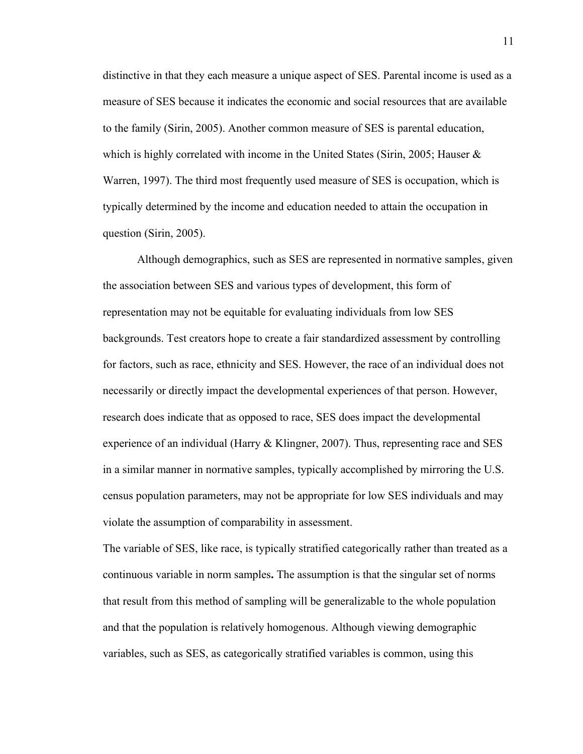distinctive in that they each measure a unique aspect of SES. Parental income is used as a measure of SES because it indicates the economic and social resources that are available to the family (Sirin, 2005). Another common measure of SES is parental education, which is highly correlated with income in the United States (Sirin, 2005; Hauser  $\&$ Warren, 1997). The third most frequently used measure of SES is occupation, which is typically determined by the income and education needed to attain the occupation in question (Sirin, 2005).

Although demographics, such as SES are represented in normative samples, given the association between SES and various types of development, this form of representation may not be equitable for evaluating individuals from low SES backgrounds. Test creators hope to create a fair standardized assessment by controlling for factors, such as race, ethnicity and SES. However, the race of an individual does not necessarily or directly impact the developmental experiences of that person. However, research does indicate that as opposed to race, SES does impact the developmental experience of an individual (Harry & Klingner, 2007). Thus, representing race and SES in a similar manner in normative samples, typically accomplished by mirroring the U.S. census population parameters, may not be appropriate for low SES individuals and may violate the assumption of comparability in assessment.

The variable of SES, like race, is typically stratified categorically rather than treated as a continuous variable in norm samples**.** The assumption is that the singular set of norms that result from this method of sampling will be generalizable to the whole population and that the population is relatively homogenous. Although viewing demographic variables, such as SES, as categorically stratified variables is common, using this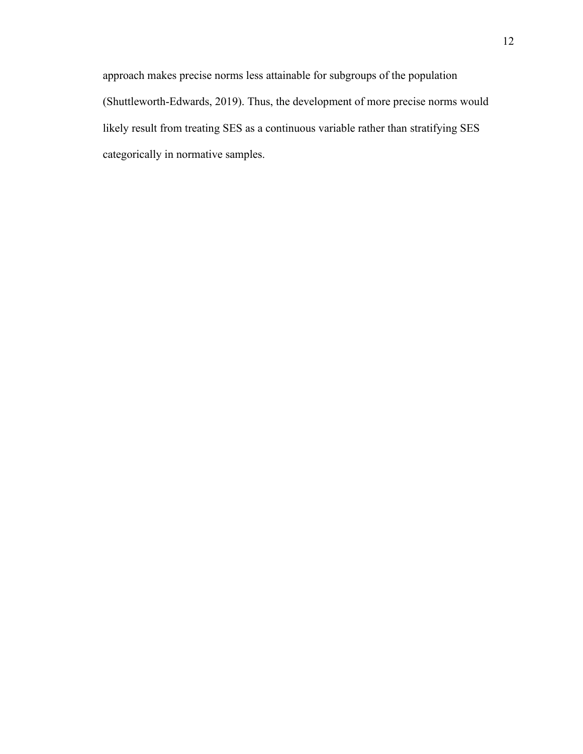approach makes precise norms less attainable for subgroups of the population (Shuttleworth-Edwards, 2019). Thus, the development of more precise norms would likely result from treating SES as a continuous variable rather than stratifying SES categorically in normative samples.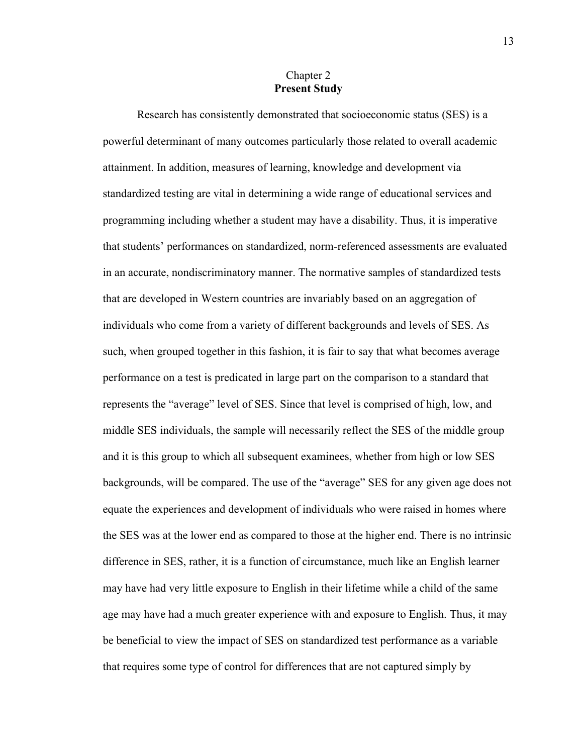# Chapter 2 **Present Study**

Research has consistently demonstrated that socioeconomic status (SES) is a powerful determinant of many outcomes particularly those related to overall academic attainment. In addition, measures of learning, knowledge and development via standardized testing are vital in determining a wide range of educational services and programming including whether a student may have a disability. Thus, it is imperative that students' performances on standardized, norm-referenced assessments are evaluated in an accurate, nondiscriminatory manner. The normative samples of standardized tests that are developed in Western countries are invariably based on an aggregation of individuals who come from a variety of different backgrounds and levels of SES. As such, when grouped together in this fashion, it is fair to say that what becomes average performance on a test is predicated in large part on the comparison to a standard that represents the "average" level of SES. Since that level is comprised of high, low, and middle SES individuals, the sample will necessarily reflect the SES of the middle group and it is this group to which all subsequent examinees, whether from high or low SES backgrounds, will be compared. The use of the "average" SES for any given age does not equate the experiences and development of individuals who were raised in homes where the SES was at the lower end as compared to those at the higher end. There is no intrinsic difference in SES, rather, it is a function of circumstance, much like an English learner may have had very little exposure to English in their lifetime while a child of the same age may have had a much greater experience with and exposure to English. Thus, it may be beneficial to view the impact of SES on standardized test performance as a variable that requires some type of control for differences that are not captured simply by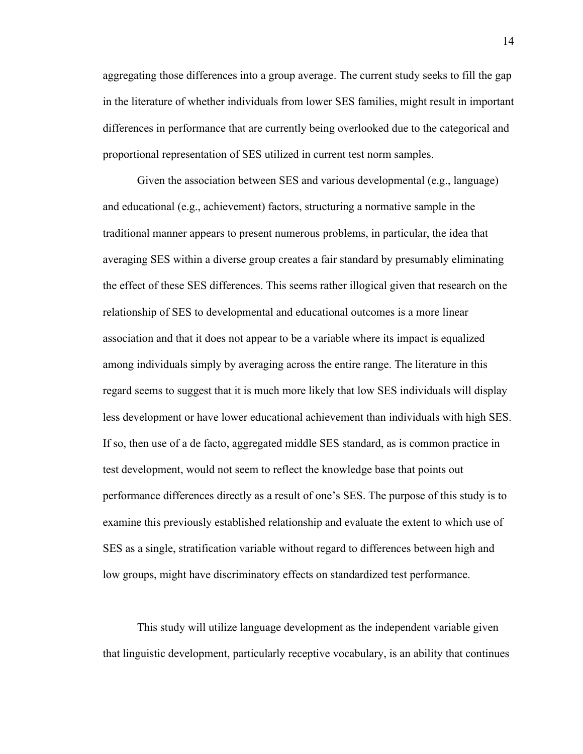aggregating those differences into a group average. The current study seeks to fill the gap in the literature of whether individuals from lower SES families, might result in important differences in performance that are currently being overlooked due to the categorical and proportional representation of SES utilized in current test norm samples.

Given the association between SES and various developmental (e.g., language) and educational (e.g., achievement) factors, structuring a normative sample in the traditional manner appears to present numerous problems, in particular, the idea that averaging SES within a diverse group creates a fair standard by presumably eliminating the effect of these SES differences. This seems rather illogical given that research on the relationship of SES to developmental and educational outcomes is a more linear association and that it does not appear to be a variable where its impact is equalized among individuals simply by averaging across the entire range. The literature in this regard seems to suggest that it is much more likely that low SES individuals will display less development or have lower educational achievement than individuals with high SES. If so, then use of a de facto, aggregated middle SES standard, as is common practice in test development, would not seem to reflect the knowledge base that points out performance differences directly as a result of one's SES. The purpose of this study is to examine this previously established relationship and evaluate the extent to which use of SES as a single, stratification variable without regard to differences between high and low groups, might have discriminatory effects on standardized test performance.

This study will utilize language development as the independent variable given that linguistic development, particularly receptive vocabulary, is an ability that continues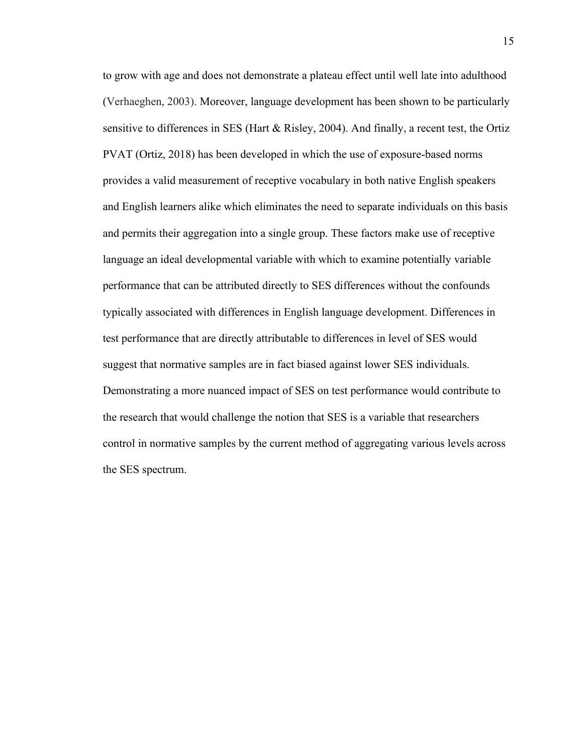to grow with age and does not demonstrate a plateau effect until well late into adulthood (Verhaeghen, 2003). Moreover, language development has been shown to be particularly sensitive to differences in SES (Hart & Risley, 2004). And finally, a recent test, the Ortiz PVAT (Ortiz, 2018) has been developed in which the use of exposure-based norms provides a valid measurement of receptive vocabulary in both native English speakers and English learners alike which eliminates the need to separate individuals on this basis and permits their aggregation into a single group. These factors make use of receptive language an ideal developmental variable with which to examine potentially variable performance that can be attributed directly to SES differences without the confounds typically associated with differences in English language development. Differences in test performance that are directly attributable to differences in level of SES would suggest that normative samples are in fact biased against lower SES individuals. Demonstrating a more nuanced impact of SES on test performance would contribute to the research that would challenge the notion that SES is a variable that researchers control in normative samples by the current method of aggregating various levels across the SES spectrum.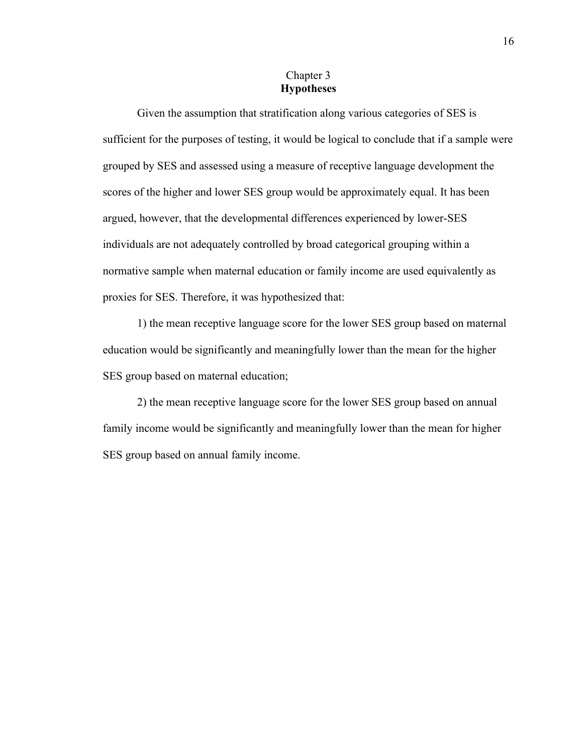# Chapter 3 **Hypotheses**

Given the assumption that stratification along various categories of SES is sufficient for the purposes of testing, it would be logical to conclude that if a sample were grouped by SES and assessed using a measure of receptive language development the scores of the higher and lower SES group would be approximately equal. It has been argued, however, that the developmental differences experienced by lower-SES individuals are not adequately controlled by broad categorical grouping within a normative sample when maternal education or family income are used equivalently as proxies for SES. Therefore, it was hypothesized that:

1) the mean receptive language score for the lower SES group based on maternal education would be significantly and meaningfully lower than the mean for the higher SES group based on maternal education;

2) the mean receptive language score for the lower SES group based on annual family income would be significantly and meaningfully lower than the mean for higher SES group based on annual family income.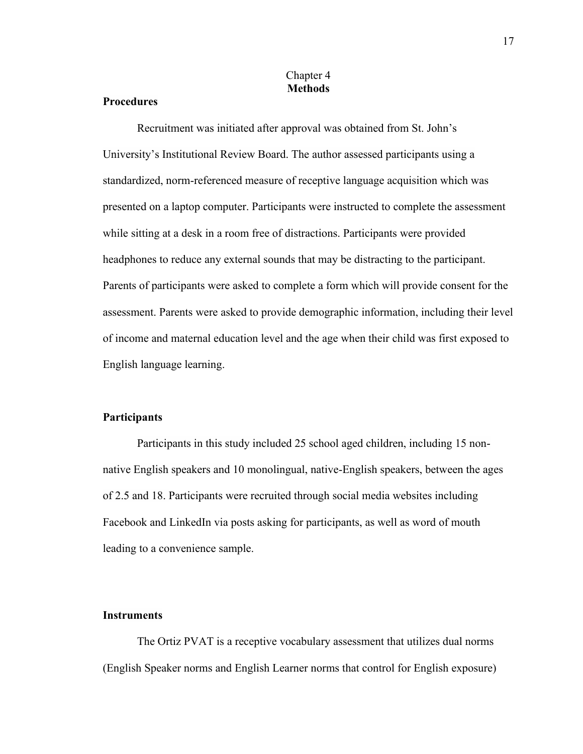# Chapter 4 **Methods**

# **Procedures**

Recruitment was initiated after approval was obtained from St. John's University's Institutional Review Board. The author assessed participants using a standardized, norm-referenced measure of receptive language acquisition which was presented on a laptop computer. Participants were instructed to complete the assessment while sitting at a desk in a room free of distractions. Participants were provided headphones to reduce any external sounds that may be distracting to the participant. Parents of participants were asked to complete a form which will provide consent for the assessment. Parents were asked to provide demographic information, including their level of income and maternal education level and the age when their child was first exposed to English language learning.

### **Participants**

Participants in this study included 25 school aged children, including 15 nonnative English speakers and 10 monolingual, native-English speakers, between the ages of 2.5 and 18. Participants were recruited through social media websites including Facebook and LinkedIn via posts asking for participants, as well as word of mouth leading to a convenience sample.

## **Instruments**

The Ortiz PVAT is a receptive vocabulary assessment that utilizes dual norms (English Speaker norms and English Learner norms that control for English exposure)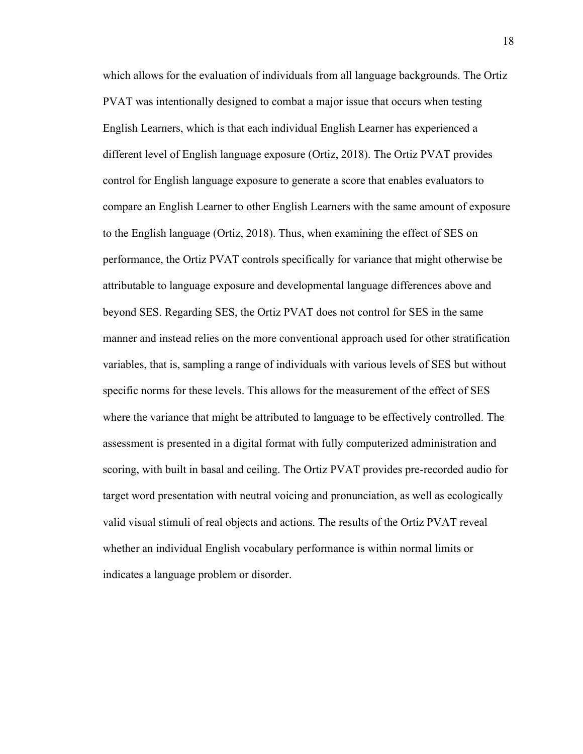which allows for the evaluation of individuals from all language backgrounds. The Ortiz PVAT was intentionally designed to combat a major issue that occurs when testing English Learners, which is that each individual English Learner has experienced a different level of English language exposure (Ortiz, 2018). The Ortiz PVAT provides control for English language exposure to generate a score that enables evaluators to compare an English Learner to other English Learners with the same amount of exposure to the English language (Ortiz, 2018). Thus, when examining the effect of SES on performance, the Ortiz PVAT controls specifically for variance that might otherwise be attributable to language exposure and developmental language differences above and beyond SES. Regarding SES, the Ortiz PVAT does not control for SES in the same manner and instead relies on the more conventional approach used for other stratification variables, that is, sampling a range of individuals with various levels of SES but without specific norms for these levels. This allows for the measurement of the effect of SES where the variance that might be attributed to language to be effectively controlled. The assessment is presented in a digital format with fully computerized administration and scoring, with built in basal and ceiling. The Ortiz PVAT provides pre-recorded audio for target word presentation with neutral voicing and pronunciation, as well as ecologically valid visual stimuli of real objects and actions. The results of the Ortiz PVAT reveal whether an individual English vocabulary performance is within normal limits or indicates a language problem or disorder.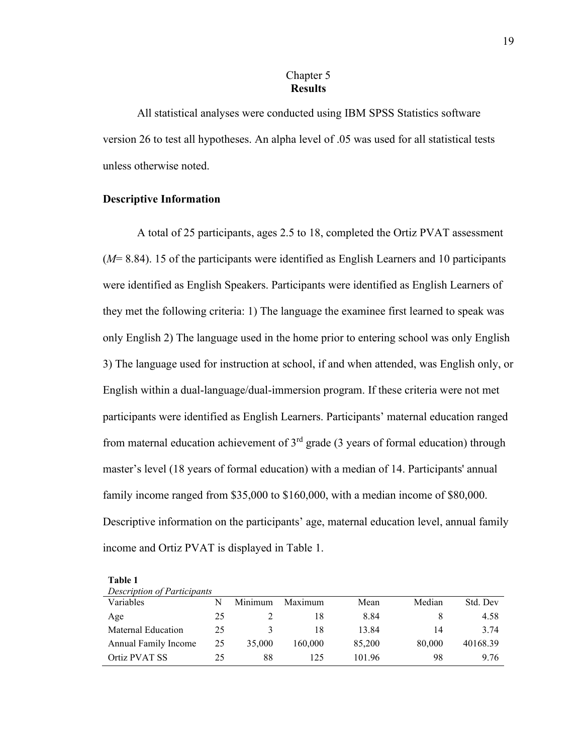# Chapter 5 **Results**

All statistical analyses were conducted using IBM SPSS Statistics software version 26 to test all hypotheses. An alpha level of .05 was used for all statistical tests unless otherwise noted.

# **Descriptive Information**

A total of 25 participants, ages 2.5 to 18, completed the Ortiz PVAT assessment (*M*= 8.84). 15 of the participants were identified as English Learners and 10 participants were identified as English Speakers. Participants were identified as English Learners of they met the following criteria: 1) The language the examinee first learned to speak was only English 2) The language used in the home prior to entering school was only English 3) The language used for instruction at school, if and when attended, was English only, or English within a dual-language/dual-immersion program. If these criteria were not met participants were identified as English Learners. Participants' maternal education ranged from maternal education achievement of  $3<sup>rd</sup>$  grade (3 years of formal education) through master's level (18 years of formal education) with a median of 14. Participants' annual family income ranged from \$35,000 to \$160,000, with a median income of \$80,000. Descriptive information on the participants' age, maternal education level, annual family income and Ortiz PVAT is displayed in Table 1.

| <b>Description of Participants</b> |    |         |         |        |        |          |  |  |  |
|------------------------------------|----|---------|---------|--------|--------|----------|--|--|--|
| Variables                          |    | Minimum | Maximum | Mean   | Median | Std. Dev |  |  |  |
| Age                                | 25 |         | 18      | 8.84   |        | 4.58     |  |  |  |
| Maternal Education                 | 25 |         | 18      | 13.84  | 14     | 3.74     |  |  |  |
| Annual Family Income               | 25 | 35,000  | 160,000 | 85,200 | 80,000 | 40168.39 |  |  |  |
| Ortiz PVAT SS                      | 25 | 88      | 125     | 101.96 | 98     | 9.76     |  |  |  |

**Table 1**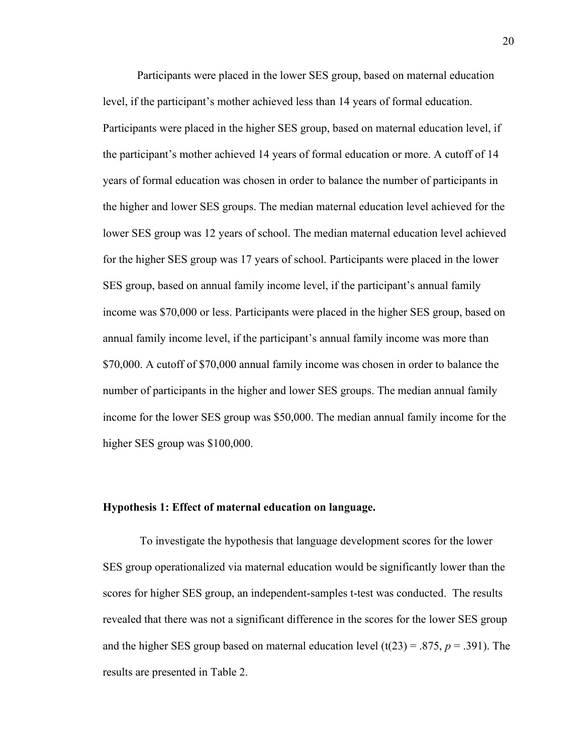Participants were placed in the lower SES group, based on maternal education level, if the participant's mother achieved less than 14 years of formal education. Participants were placed in the higher SES group, based on maternal education level, if the participant's mother achieved 14 years of formal education or more. A cutoff of 14 years of formal education was chosen in order to balance the number of participants in the higher and lower SES groups. The median maternal education level achieved for the lower SES group was 12 years of school. The median maternal education level achieved for the higher SES group was 17 years of school. Participants were placed in the lower SES group, based on annual family income level, if the participant's annual family income was \$70,000 or less. Participants were placed in the higher SES group, based on annual family income level, if the participant's annual family income was more than \$70,000. A cutoff of \$70,000 annual family income was chosen in order to balance the number of participants in the higher and lower SES groups. The median annual family income for the lower SES group was \$50,000. The median annual family income for the higher SES group was \$100,000.

# **Hypothesis 1: Effect of maternal education on language.**

To investigate the hypothesis that language development scores for the lower SES group operationalized via maternal education would be significantly lower than the scores for higher SES group, an independent-samples t-test was conducted. The results revealed that there was not a significant difference in the scores for the lower SES group and the higher SES group based on maternal education level  $(t(23) = .875, p = .391)$ . The results are presented in Table 2.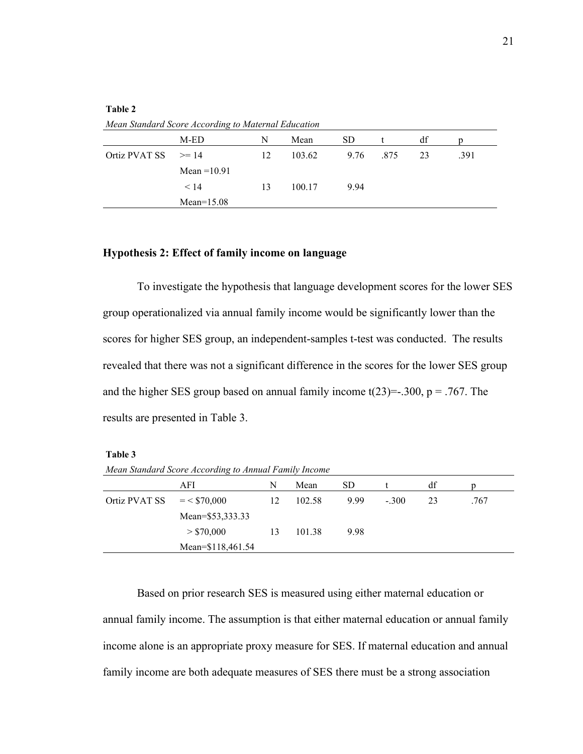|                         | Mean Standard Score According to Maternal Education |    |        |      |      |    |      |
|-------------------------|-----------------------------------------------------|----|--------|------|------|----|------|
|                         | M-ED                                                | N  | Mean   | SD.  |      | df |      |
| Ortiz PVAT SS $\geq 14$ |                                                     | 12 | 103.62 | 9.76 | .875 | 23 | .391 |
|                         | Mean $=10.91$                                       |    |        |      |      |    |      |
|                         | < 14                                                | 13 | 100.17 | 9.94 |      |    |      |
|                         | $Mean=15.08$                                        |    |        |      |      |    |      |
|                         |                                                     |    |        |      |      |    |      |

# **Table 2**

*Mean Standard Score According to Maternal Education* 

## **Hypothesis 2: Effect of family income on language**

To investigate the hypothesis that language development scores for the lower SES group operationalized via annual family income would be significantly lower than the scores for higher SES group, an independent-samples t-test was conducted. The results revealed that there was not a significant difference in the scores for the lower SES group and the higher SES group based on annual family income  $t(23)=300$ ,  $p = .767$ . The results are presented in Table 3.

#### **Table 3**

*Mean Standard Score According to Annual Family Income* 

|                             | AFI               | N  | Mean   | SD   |         | df |      |
|-----------------------------|-------------------|----|--------|------|---------|----|------|
| Ortiz PVAT SS $= < $70,000$ |                   | 12 | 102.58 | 9.99 | $-.300$ | 23 | .767 |
|                             | Mean=\$53,333.33  |    |        |      |         |    |      |
|                             | > \$70,000        | 13 | 101.38 | 9.98 |         |    |      |
|                             | Mean=\$118,461.54 |    |        |      |         |    |      |

Based on prior research SES is measured using either maternal education or annual family income. The assumption is that either maternal education or annual family income alone is an appropriate proxy measure for SES. If maternal education and annual family income are both adequate measures of SES there must be a strong association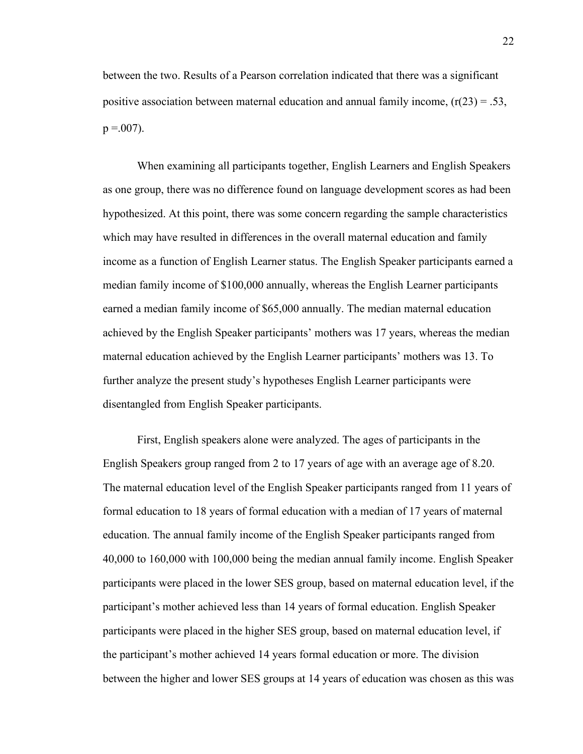between the two. Results of a Pearson correlation indicated that there was a significant positive association between maternal education and annual family income,  $(r(23) = .53)$ ,  $p = .007$ ).

When examining all participants together, English Learners and English Speakers as one group, there was no difference found on language development scores as had been hypothesized. At this point, there was some concern regarding the sample characteristics which may have resulted in differences in the overall maternal education and family income as a function of English Learner status. The English Speaker participants earned a median family income of \$100,000 annually, whereas the English Learner participants earned a median family income of \$65,000 annually. The median maternal education achieved by the English Speaker participants' mothers was 17 years, whereas the median maternal education achieved by the English Learner participants' mothers was 13. To further analyze the present study's hypotheses English Learner participants were disentangled from English Speaker participants.

First, English speakers alone were analyzed. The ages of participants in the English Speakers group ranged from 2 to 17 years of age with an average age of 8.20. The maternal education level of the English Speaker participants ranged from 11 years of formal education to 18 years of formal education with a median of 17 years of maternal education. The annual family income of the English Speaker participants ranged from 40,000 to 160,000 with 100,000 being the median annual family income. English Speaker participants were placed in the lower SES group, based on maternal education level, if the participant's mother achieved less than 14 years of formal education. English Speaker participants were placed in the higher SES group, based on maternal education level, if the participant's mother achieved 14 years formal education or more. The division between the higher and lower SES groups at 14 years of education was chosen as this was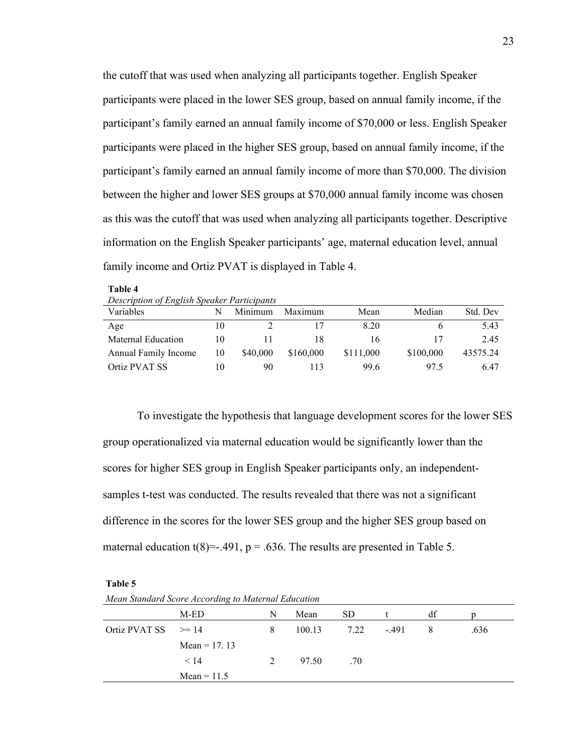the cutoff that was used when analyzing all participants together. English Speaker participants were placed in the lower SES group, based on annual family income, if the participant's family earned an annual family income of \$70,000 or less. English Speaker participants were placed in the higher SES group, based on annual family income, if the participant's family earned an annual family income of more than \$70,000. The division between the higher and lower SES groups at \$70,000 annual family income was chosen as this was the cutoff that was used when analyzing all participants together. Descriptive information on the English Speaker participants' age, maternal education level, annual family income and Ortiz PVAT is displayed in Table 4.

| Description of English Speaker Participants |    |          |           |           |           |          |  |  |
|---------------------------------------------|----|----------|-----------|-----------|-----------|----------|--|--|
| Variables                                   | N  | Minimum  | Maximum   | Mean      | Median    | Std. Dev |  |  |
| Age                                         | 10 |          | 17        | 8.20      |           | 5.43     |  |  |
| Maternal Education                          | 10 |          | 18        | 16        | 17        | 2.45     |  |  |
| Annual Family Income                        | 10 | \$40,000 | \$160,000 | \$111,000 | \$100,000 | 43575.24 |  |  |
| Ortiz PVAT SS                               | 10 | 90       | 113       | 99.6      | 97.5      | 6.47     |  |  |

To investigate the hypothesis that language development scores for the lower SES group operationalized via maternal education would be significantly lower than the scores for higher SES group in English Speaker participants only, an independentsamples t-test was conducted. The results revealed that there was not a significant difference in the scores for the lower SES group and the higher SES group based on maternal education t(8)=-.491,  $p = .636$ . The results are presented in Table 5.

| Mean Standard Score According to Maternal Education |                |   |        |      |        |    |      |
|-----------------------------------------------------|----------------|---|--------|------|--------|----|------|
|                                                     | M-ED           | N | Mean   | SD.  |        | df |      |
| Ortiz PVAT SS                                       | $>= 14$        | 8 | 100.13 | 7.22 | $-491$ | 8  | .636 |
|                                                     | Mean = $17.13$ |   |        |      |        |    |      |
|                                                     | < 14           |   | 97.50  | .70  |        |    |      |
|                                                     | $Mean = 11.5$  |   |        |      |        |    |      |

**Table 5**

**Table 4**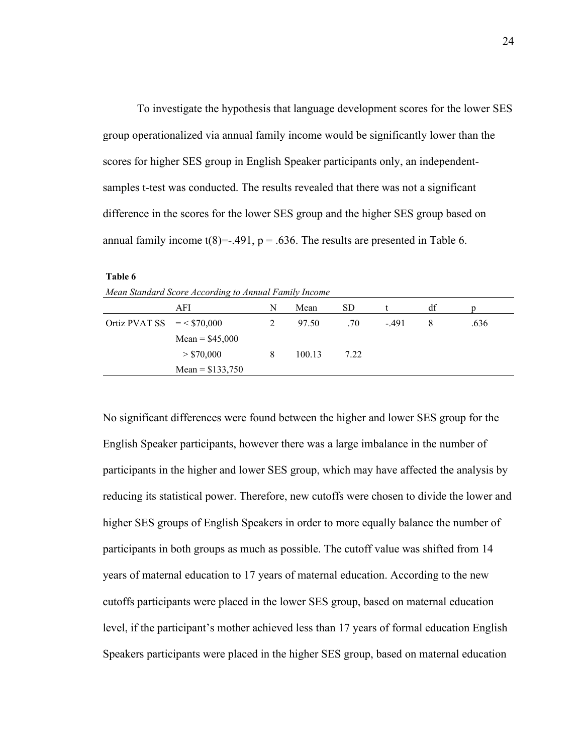To investigate the hypothesis that language development scores for the lower SES group operationalized via annual family income would be significantly lower than the scores for higher SES group in English Speaker participants only, an independentsamples t-test was conducted. The results revealed that there was not a significant difference in the scores for the lower SES group and the higher SES group based on annual family income  $t(8) = -0.491$ ,  $p = 0.636$ . The results are presented in Table 6.

| Mean Standard Score According to Annual Family Income |                   |   |        |      |         |    |      |  |
|-------------------------------------------------------|-------------------|---|--------|------|---------|----|------|--|
|                                                       | AFI               | N | Mean   | SD.  |         | df |      |  |
| Ortiz PVAT SS $= < $70,000$                           |                   |   | 97.50  | .70  | $-.491$ | 8  | .636 |  |
|                                                       | Mean = $$45,000$  |   |        |      |         |    |      |  |
|                                                       | > \$70,000        | 8 | 100.13 | 7.22 |         |    |      |  |
|                                                       | Mean = $$133,750$ |   |        |      |         |    |      |  |

**Table 6**

No significant differences were found between the higher and lower SES group for the English Speaker participants, however there was a large imbalance in the number of participants in the higher and lower SES group, which may have affected the analysis by reducing its statistical power. Therefore, new cutoffs were chosen to divide the lower and higher SES groups of English Speakers in order to more equally balance the number of participants in both groups as much as possible. The cutoff value was shifted from 14 years of maternal education to 17 years of maternal education. According to the new cutoffs participants were placed in the lower SES group, based on maternal education level, if the participant's mother achieved less than 17 years of formal education English Speakers participants were placed in the higher SES group, based on maternal education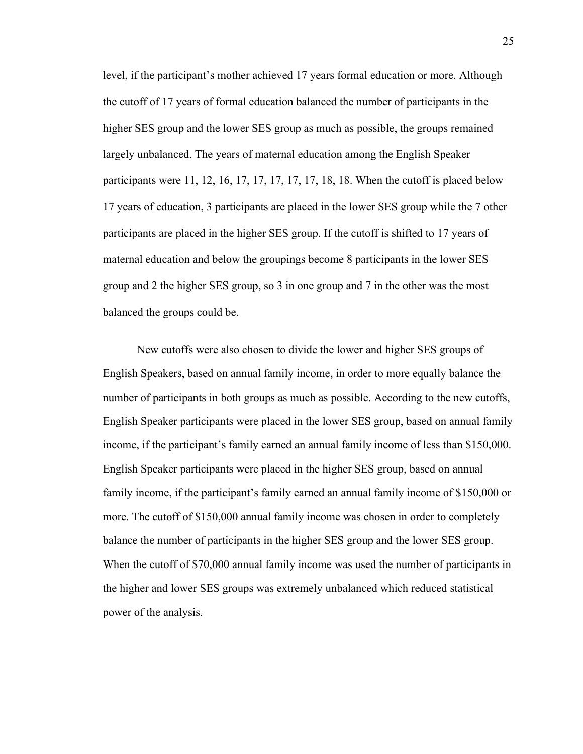level, if the participant's mother achieved 17 years formal education or more. Although the cutoff of 17 years of formal education balanced the number of participants in the higher SES group and the lower SES group as much as possible, the groups remained largely unbalanced. The years of maternal education among the English Speaker participants were 11, 12, 16, 17, 17, 17, 17, 17, 18, 18. When the cutoff is placed below 17 years of education, 3 participants are placed in the lower SES group while the 7 other participants are placed in the higher SES group. If the cutoff is shifted to 17 years of maternal education and below the groupings become 8 participants in the lower SES group and 2 the higher SES group, so 3 in one group and 7 in the other was the most balanced the groups could be.

New cutoffs were also chosen to divide the lower and higher SES groups of English Speakers, based on annual family income, in order to more equally balance the number of participants in both groups as much as possible. According to the new cutoffs, English Speaker participants were placed in the lower SES group, based on annual family income, if the participant's family earned an annual family income of less than \$150,000. English Speaker participants were placed in the higher SES group, based on annual family income, if the participant's family earned an annual family income of \$150,000 or more. The cutoff of \$150,000 annual family income was chosen in order to completely balance the number of participants in the higher SES group and the lower SES group. When the cutoff of \$70,000 annual family income was used the number of participants in the higher and lower SES groups was extremely unbalanced which reduced statistical power of the analysis.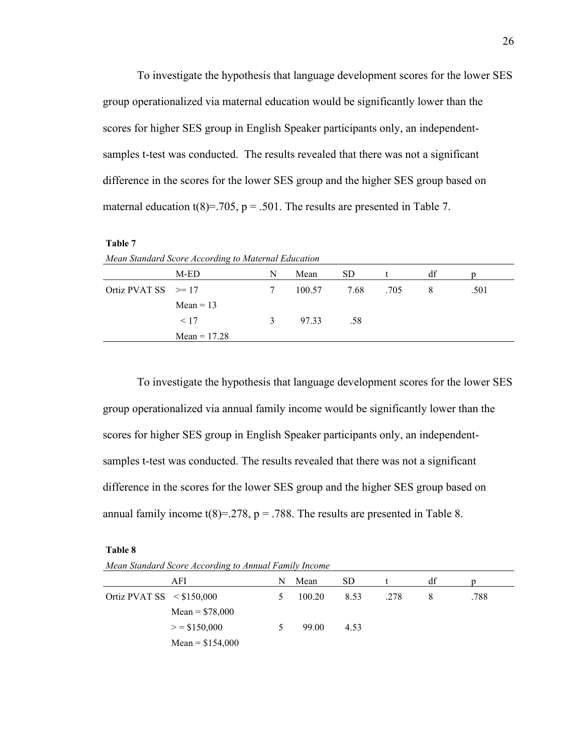To investigate the hypothesis that language development scores for the lower SES group operationalized via maternal education would be significantly lower than the scores for higher SES group in English Speaker participants only, an independentsamples t-test was conducted. The results revealed that there was not a significant difference in the scores for the lower SES group and the higher SES group based on maternal education t(8)=.705, p = .501. The results are presented in Table 7.

| 1<br>۱<br>н |  |
|-------------|--|
|-------------|--|

| Mean Standard Score According to Maternal Education |                |   |        |      |      |    |      |  |
|-----------------------------------------------------|----------------|---|--------|------|------|----|------|--|
|                                                     | M-ED           | N | Mean   | SD.  |      | df |      |  |
| Ortiz PVAT SS $\geq 17$                             |                |   | 100.57 | 7.68 | .705 |    | .501 |  |
|                                                     | $Mean = 13$    |   |        |      |      |    |      |  |
|                                                     | < 17           | 3 | 97.33  | .58  |      |    |      |  |
|                                                     | Mean $= 17.28$ |   |        |      |      |    |      |  |

To investigate the hypothesis that language development scores for the lower SES group operationalized via annual family income would be significantly lower than the scores for higher SES group in English Speaker participants only, an independentsamples t-test was conducted. The results revealed that there was not a significant difference in the scores for the lower SES group and the higher SES group based on annual family income  $t(8)=0.278$ ,  $p = 0.788$ . The results are presented in Table 8.

**Table 8**

*Mean Standard Score According to Annual Family Income* 

|                                | AFI               | N             | Mean   | SD.  |      | df |      |
|--------------------------------|-------------------|---------------|--------|------|------|----|------|
| Ortiz PVAT SS $\leq$ \$150,000 |                   | $\mathcal{D}$ | 100.20 | 8.53 | .278 |    | .788 |
|                                | Mean = $$78,000$  |               |        |      |      |    |      |
|                                | $>$ = \$150,000   | 5             | 99.00  | 4.53 |      |    |      |
|                                | Mean = $$154,000$ |               |        |      |      |    |      |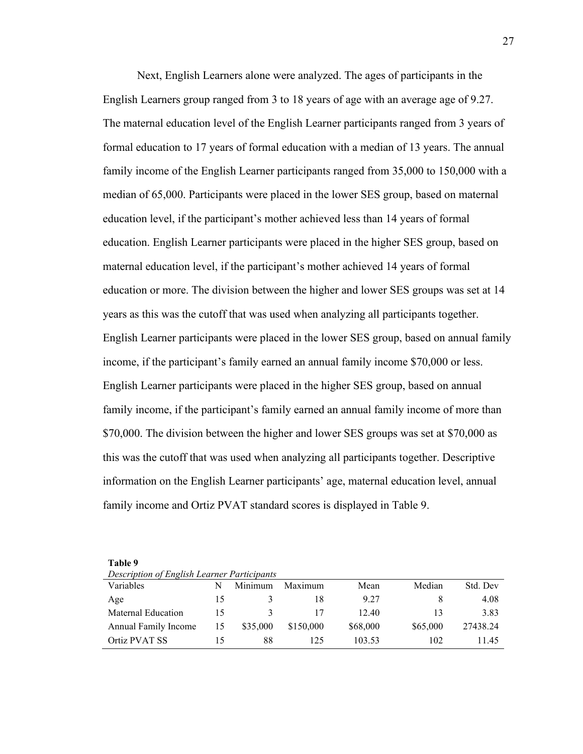Next, English Learners alone were analyzed. The ages of participants in the English Learners group ranged from 3 to 18 years of age with an average age of 9.27. The maternal education level of the English Learner participants ranged from 3 years of formal education to 17 years of formal education with a median of 13 years. The annual family income of the English Learner participants ranged from 35,000 to 150,000 with a median of 65,000. Participants were placed in the lower SES group, based on maternal education level, if the participant's mother achieved less than 14 years of formal education. English Learner participants were placed in the higher SES group, based on maternal education level, if the participant's mother achieved 14 years of formal education or more. The division between the higher and lower SES groups was set at 14 years as this was the cutoff that was used when analyzing all participants together. English Learner participants were placed in the lower SES group, based on annual family income, if the participant's family earned an annual family income \$70,000 or less. English Learner participants were placed in the higher SES group, based on annual family income, if the participant's family earned an annual family income of more than \$70,000. The division between the higher and lower SES groups was set at \$70,000 as this was the cutoff that was used when analyzing all participants together. Descriptive information on the English Learner participants' age, maternal education level, annual family income and Ortiz PVAT standard scores is displayed in Table 9.

| Table 9                                     |  |
|---------------------------------------------|--|
| Description of English Learner Participants |  |

| Variables            |                | Minimum  | Maximum   | Mean     | Median   | Std. Dev |
|----------------------|----------------|----------|-----------|----------|----------|----------|
| Age                  |                |          | 18        | 9.27     |          | 4.08     |
| Maternal Education   | $\overline{1}$ |          |           | 12.40    |          | 3.83     |
| Annual Family Income | 15             | \$35,000 | \$150,000 | \$68,000 | \$65,000 | 27438.24 |
| Ortiz PVAT SS        |                | 88       | 125       | 103.53   | 102      | 11.45    |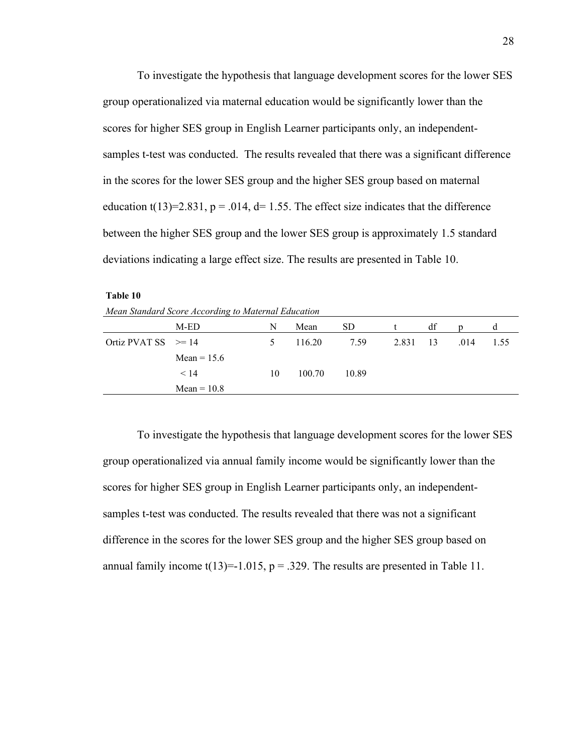To investigate the hypothesis that language development scores for the lower SES group operationalized via maternal education would be significantly lower than the scores for higher SES group in English Learner participants only, an independentsamples t-test was conducted. The results revealed that there was a significant difference in the scores for the lower SES group and the higher SES group based on maternal education t(13)=2.831,  $p = 0.014$ , d= 1.55. The effect size indicates that the difference between the higher SES group and the lower SES group is approximately 1.5 standard deviations indicating a large effect size. The results are presented in Table 10.

**Table 10** *Mean Standard Score According to Maternal Education* 

|                         | M-ED          | N             | Mean   | SD.   |          | df |      | α    |
|-------------------------|---------------|---------------|--------|-------|----------|----|------|------|
| Ortiz PVAT SS $\geq 14$ |               | $\mathcal{D}$ | 116.20 | 7.59  | 2.831 13 |    | .014 | 1.55 |
|                         | Mean = $15.6$ |               |        |       |          |    |      |      |
|                         | < 14          | 10            | 100.70 | 10.89 |          |    |      |      |
|                         | $Mean = 10.8$ |               |        |       |          |    |      |      |

To investigate the hypothesis that language development scores for the lower SES group operationalized via annual family income would be significantly lower than the scores for higher SES group in English Learner participants only, an independentsamples t-test was conducted. The results revealed that there was not a significant difference in the scores for the lower SES group and the higher SES group based on annual family income  $t(13)=1.015$ ,  $p=.329$ . The results are presented in Table 11.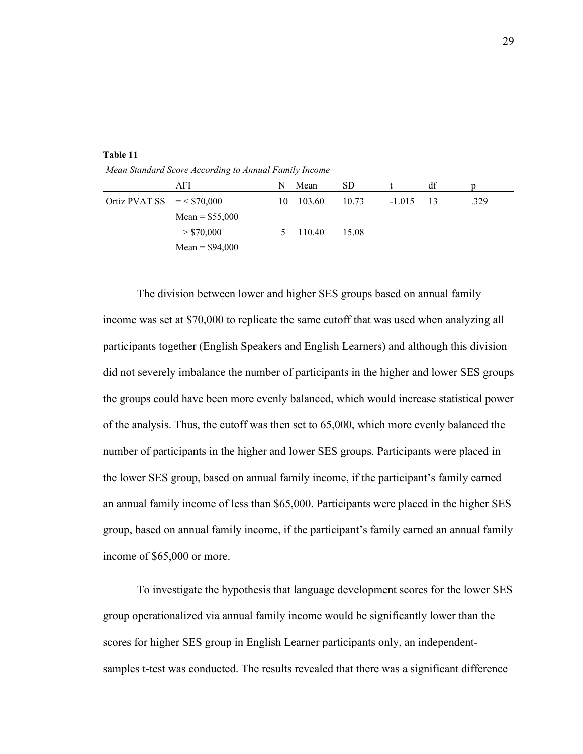|                              | AFI              | N  | Mean   | SD    |             | df |      |
|------------------------------|------------------|----|--------|-------|-------------|----|------|
| Ortiz PVAT SS $=$ < \$70,000 |                  | 10 | 103.60 | 10.73 | $-1.015$ 13 |    | .329 |
|                              | Mean = $$55,000$ |    |        |       |             |    |      |
|                              | > \$70,000       | 5  | 110.40 | 15.08 |             |    |      |
|                              | Mean = $$94,000$ |    |        |       |             |    |      |

**Table 11** *Mean Standard Score According to Annual Family Income* 

The division between lower and higher SES groups based on annual family income was set at \$70,000 to replicate the same cutoff that was used when analyzing all participants together (English Speakers and English Learners) and although this division did not severely imbalance the number of participants in the higher and lower SES groups the groups could have been more evenly balanced, which would increase statistical power of the analysis. Thus, the cutoff was then set to 65,000, which more evenly balanced the number of participants in the higher and lower SES groups. Participants were placed in the lower SES group, based on annual family income, if the participant's family earned an annual family income of less than \$65,000. Participants were placed in the higher SES group, based on annual family income, if the participant's family earned an annual family income of \$65,000 or more.

To investigate the hypothesis that language development scores for the lower SES group operationalized via annual family income would be significantly lower than the scores for higher SES group in English Learner participants only, an independentsamples t-test was conducted. The results revealed that there was a significant difference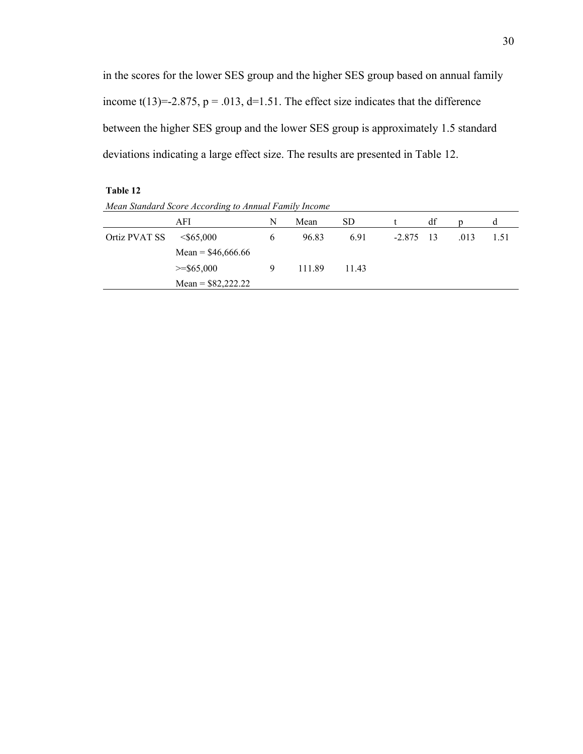in the scores for the lower SES group and the higher SES group based on annual family income t(13)=-2.875,  $p = .013$ , d=1.51. The effect size indicates that the difference between the higher SES group and the lower SES group is approximately 1.5 standard deviations indicating a large effect size. The results are presented in Table 12.

**Table 12**

*Mean Standard Score According to Annual Family Income* 

|               | AFI                 | N | Mean   | SD.   |             | df |      | d    |
|---------------|---------------------|---|--------|-------|-------------|----|------|------|
| Ortiz PVAT SS | $<$ \$65,000        | b | 96.83  | 6.91  | $-2.875$ 13 |    | .013 | 1.51 |
|               | Mean = $$46,666.66$ |   |        |       |             |    |      |      |
|               | $>=$ \$65,000       | 9 | 111.89 | 11.43 |             |    |      |      |
|               | Mean = $$82,222.22$ |   |        |       |             |    |      |      |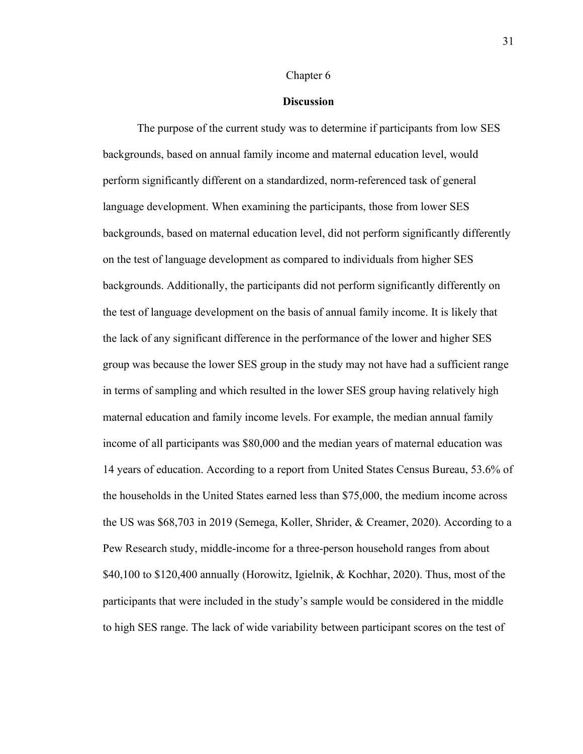### Chapter 6

## **Discussion**

The purpose of the current study was to determine if participants from low SES backgrounds, based on annual family income and maternal education level, would perform significantly different on a standardized, norm-referenced task of general language development. When examining the participants, those from lower SES backgrounds, based on maternal education level, did not perform significantly differently on the test of language development as compared to individuals from higher SES backgrounds. Additionally, the participants did not perform significantly differently on the test of language development on the basis of annual family income. It is likely that the lack of any significant difference in the performance of the lower and higher SES group was because the lower SES group in the study may not have had a sufficient range in terms of sampling and which resulted in the lower SES group having relatively high maternal education and family income levels. For example, the median annual family income of all participants was \$80,000 and the median years of maternal education was 14 years of education. According to a report from United States Census Bureau, 53.6% of the households in the United States earned less than \$75,000, the medium income across the US was \$68,703 in 2019 (Semega, Koller, Shrider, & Creamer, 2020). According to a Pew Research study, middle-income for a three-person household ranges from about \$40,100 to \$120,400 annually (Horowitz, Igielnik, & Kochhar, 2020). Thus, most of the participants that were included in the study's sample would be considered in the middle to high SES range. The lack of wide variability between participant scores on the test of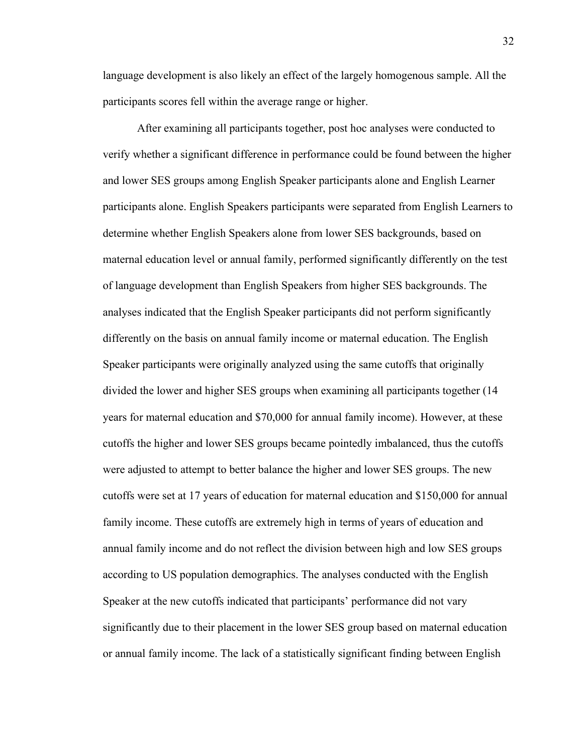language development is also likely an effect of the largely homogenous sample. All the participants scores fell within the average range or higher.

After examining all participants together, post hoc analyses were conducted to verify whether a significant difference in performance could be found between the higher and lower SES groups among English Speaker participants alone and English Learner participants alone. English Speakers participants were separated from English Learners to determine whether English Speakers alone from lower SES backgrounds, based on maternal education level or annual family, performed significantly differently on the test of language development than English Speakers from higher SES backgrounds. The analyses indicated that the English Speaker participants did not perform significantly differently on the basis on annual family income or maternal education. The English Speaker participants were originally analyzed using the same cutoffs that originally divided the lower and higher SES groups when examining all participants together (14 years for maternal education and \$70,000 for annual family income). However, at these cutoffs the higher and lower SES groups became pointedly imbalanced, thus the cutoffs were adjusted to attempt to better balance the higher and lower SES groups. The new cutoffs were set at 17 years of education for maternal education and \$150,000 for annual family income. These cutoffs are extremely high in terms of years of education and annual family income and do not reflect the division between high and low SES groups according to US population demographics. The analyses conducted with the English Speaker at the new cutoffs indicated that participants' performance did not vary significantly due to their placement in the lower SES group based on maternal education or annual family income. The lack of a statistically significant finding between English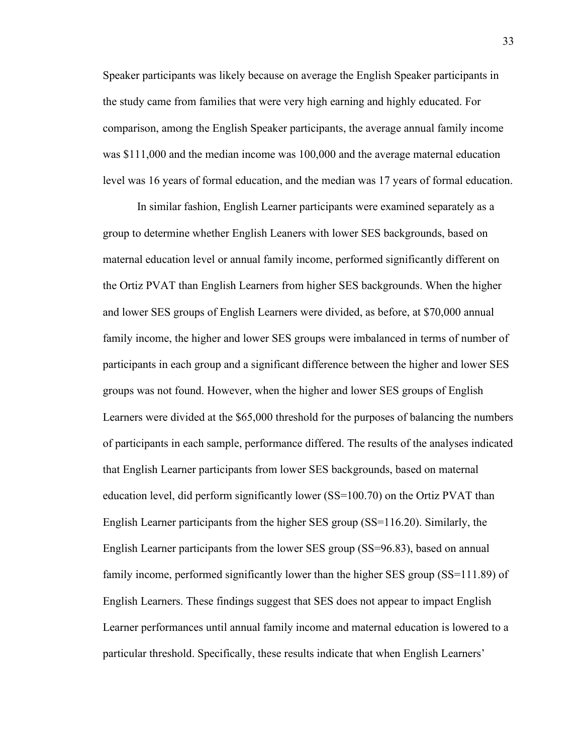Speaker participants was likely because on average the English Speaker participants in the study came from families that were very high earning and highly educated. For comparison, among the English Speaker participants, the average annual family income was \$111,000 and the median income was 100,000 and the average maternal education level was 16 years of formal education, and the median was 17 years of formal education.

In similar fashion, English Learner participants were examined separately as a group to determine whether English Leaners with lower SES backgrounds, based on maternal education level or annual family income, performed significantly different on the Ortiz PVAT than English Learners from higher SES backgrounds. When the higher and lower SES groups of English Learners were divided, as before, at \$70,000 annual family income, the higher and lower SES groups were imbalanced in terms of number of participants in each group and a significant difference between the higher and lower SES groups was not found. However, when the higher and lower SES groups of English Learners were divided at the \$65,000 threshold for the purposes of balancing the numbers of participants in each sample, performance differed. The results of the analyses indicated that English Learner participants from lower SES backgrounds, based on maternal education level, did perform significantly lower (SS=100.70) on the Ortiz PVAT than English Learner participants from the higher SES group (SS=116.20). Similarly, the English Learner participants from the lower SES group (SS=96.83), based on annual family income, performed significantly lower than the higher SES group (SS=111.89) of English Learners. These findings suggest that SES does not appear to impact English Learner performances until annual family income and maternal education is lowered to a particular threshold. Specifically, these results indicate that when English Learners'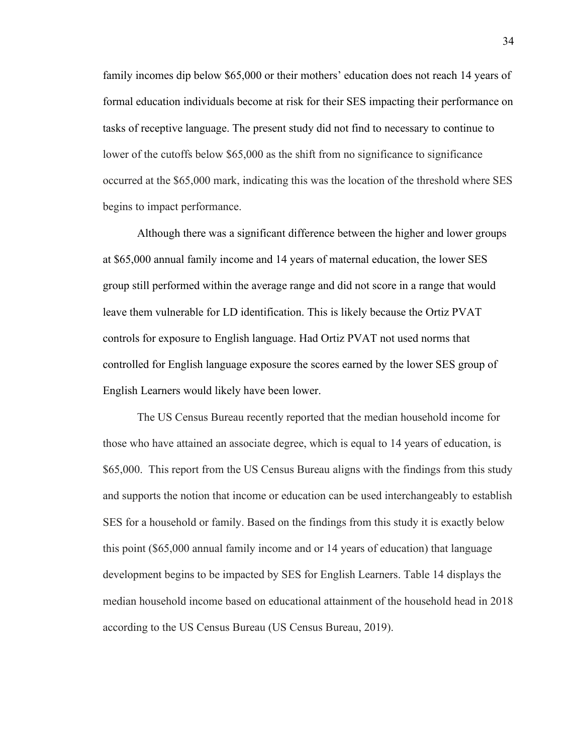family incomes dip below \$65,000 or their mothers' education does not reach 14 years of formal education individuals become at risk for their SES impacting their performance on tasks of receptive language. The present study did not find to necessary to continue to lower of the cutoffs below \$65,000 as the shift from no significance to significance occurred at the \$65,000 mark, indicating this was the location of the threshold where SES begins to impact performance.

Although there was a significant difference between the higher and lower groups at \$65,000 annual family income and 14 years of maternal education, the lower SES group still performed within the average range and did not score in a range that would leave them vulnerable for LD identification. This is likely because the Ortiz PVAT controls for exposure to English language. Had Ortiz PVAT not used norms that controlled for English language exposure the scores earned by the lower SES group of English Learners would likely have been lower.

The US Census Bureau recently reported that the median household income for those who have attained an associate degree, which is equal to 14 years of education, is \$65,000. This report from the US Census Bureau aligns with the findings from this study and supports the notion that income or education can be used interchangeably to establish SES for a household or family. Based on the findings from this study it is exactly below this point (\$65,000 annual family income and or 14 years of education) that language development begins to be impacted by SES for English Learners. Table 14 displays the median household income based on educational attainment of the household head in 2018 according to the US Census Bureau (US Census Bureau, 2019).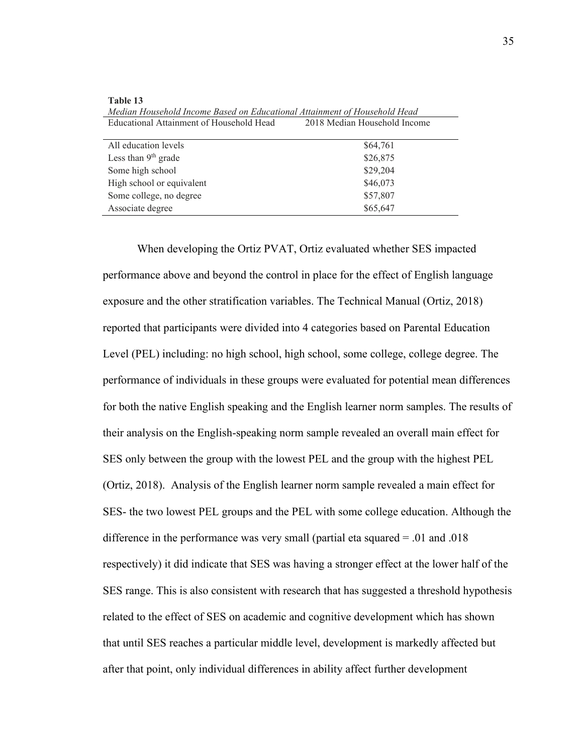| meand Housenoul Income Dused on Educational Andminish of Housenoul Head |                              |  |  |  |  |
|-------------------------------------------------------------------------|------------------------------|--|--|--|--|
| Educational Attainment of Household Head                                | 2018 Median Household Income |  |  |  |  |
| All education levels                                                    | \$64,761                     |  |  |  |  |
| Less than $9th$ grade                                                   | \$26,875                     |  |  |  |  |
| Some high school                                                        | \$29,204                     |  |  |  |  |
| High school or equivalent                                               | \$46,073                     |  |  |  |  |
| Some college, no degree                                                 | \$57,807                     |  |  |  |  |
| Associate degree                                                        | \$65,647                     |  |  |  |  |

**Table 13** *Median Household Income Based on Educational Attainment of Household Head* 

When developing the Ortiz PVAT, Ortiz evaluated whether SES impacted performance above and beyond the control in place for the effect of English language exposure and the other stratification variables. The Technical Manual (Ortiz, 2018) reported that participants were divided into 4 categories based on Parental Education Level (PEL) including: no high school, high school, some college, college degree. The performance of individuals in these groups were evaluated for potential mean differences for both the native English speaking and the English learner norm samples. The results of their analysis on the English-speaking norm sample revealed an overall main effect for SES only between the group with the lowest PEL and the group with the highest PEL (Ortiz, 2018). Analysis of the English learner norm sample revealed a main effect for SES- the two lowest PEL groups and the PEL with some college education. Although the difference in the performance was very small (partial eta squared = .01 and .018 respectively) it did indicate that SES was having a stronger effect at the lower half of the SES range. This is also consistent with research that has suggested a threshold hypothesis related to the effect of SES on academic and cognitive development which has shown that until SES reaches a particular middle level, development is markedly affected but after that point, only individual differences in ability affect further development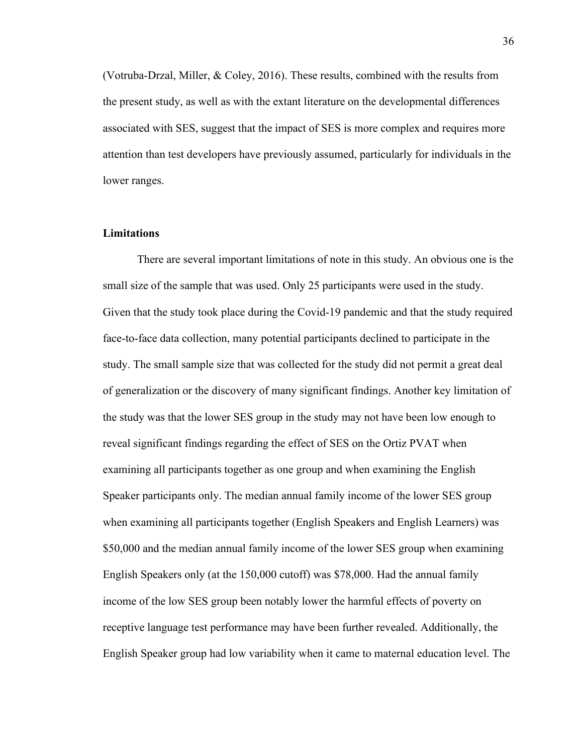(Votruba‐Drzal, Miller, & Coley, 2016). These results, combined with the results from the present study, as well as with the extant literature on the developmental differences associated with SES, suggest that the impact of SES is more complex and requires more attention than test developers have previously assumed, particularly for individuals in the lower ranges.

## **Limitations**

There are several important limitations of note in this study. An obvious one is the small size of the sample that was used. Only 25 participants were used in the study. Given that the study took place during the Covid-19 pandemic and that the study required face-to-face data collection, many potential participants declined to participate in the study. The small sample size that was collected for the study did not permit a great deal of generalization or the discovery of many significant findings. Another key limitation of the study was that the lower SES group in the study may not have been low enough to reveal significant findings regarding the effect of SES on the Ortiz PVAT when examining all participants together as one group and when examining the English Speaker participants only. The median annual family income of the lower SES group when examining all participants together (English Speakers and English Learners) was \$50,000 and the median annual family income of the lower SES group when examining English Speakers only (at the 150,000 cutoff) was \$78,000. Had the annual family income of the low SES group been notably lower the harmful effects of poverty on receptive language test performance may have been further revealed. Additionally, the English Speaker group had low variability when it came to maternal education level. The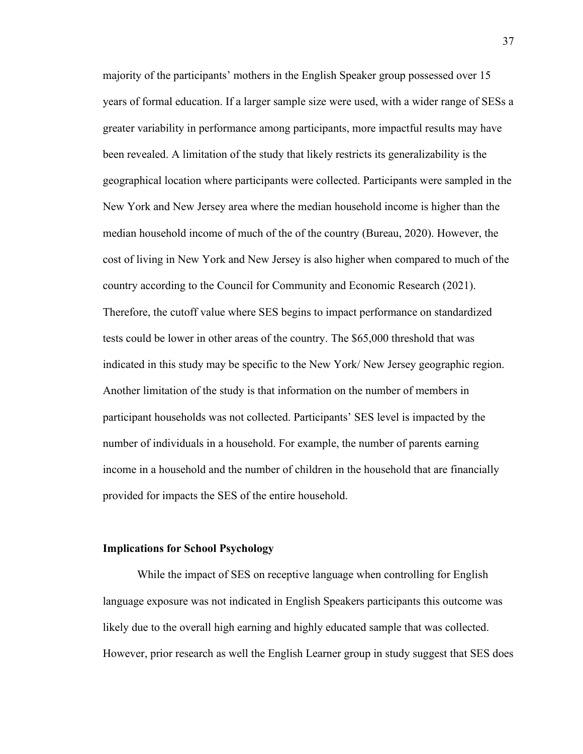majority of the participants' mothers in the English Speaker group possessed over 15 years of formal education. If a larger sample size were used, with a wider range of SESs a greater variability in performance among participants, more impactful results may have been revealed. A limitation of the study that likely restricts its generalizability is the geographical location where participants were collected. Participants were sampled in the New York and New Jersey area where the median household income is higher than the median household income of much of the of the country (Bureau, 2020). However, the cost of living in New York and New Jersey is also higher when compared to much of the country according to the Council for Community and Economic Research (2021). Therefore, the cutoff value where SES begins to impact performance on standardized tests could be lower in other areas of the country. The \$65,000 threshold that was indicated in this study may be specific to the New York/ New Jersey geographic region. Another limitation of the study is that information on the number of members in participant households was not collected. Participants' SES level is impacted by the number of individuals in a household. For example, the number of parents earning income in a household and the number of children in the household that are financially provided for impacts the SES of the entire household.

#### **Implications for School Psychology**

While the impact of SES on receptive language when controlling for English language exposure was not indicated in English Speakers participants this outcome was likely due to the overall high earning and highly educated sample that was collected. However, prior research as well the English Learner group in study suggest that SES does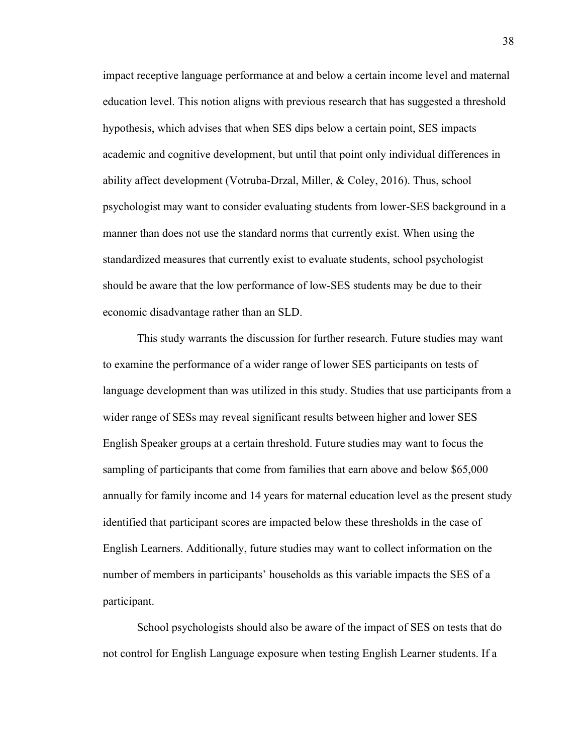impact receptive language performance at and below a certain income level and maternal education level. This notion aligns with previous research that has suggested a threshold hypothesis, which advises that when SES dips below a certain point, SES impacts academic and cognitive development, but until that point only individual differences in ability affect development (Votruba‐Drzal, Miller, & Coley, 2016). Thus, school psychologist may want to consider evaluating students from lower-SES background in a manner than does not use the standard norms that currently exist. When using the standardized measures that currently exist to evaluate students, school psychologist should be aware that the low performance of low-SES students may be due to their economic disadvantage rather than an SLD.

This study warrants the discussion for further research. Future studies may want to examine the performance of a wider range of lower SES participants on tests of language development than was utilized in this study. Studies that use participants from a wider range of SESs may reveal significant results between higher and lower SES English Speaker groups at a certain threshold. Future studies may want to focus the sampling of participants that come from families that earn above and below \$65,000 annually for family income and 14 years for maternal education level as the present study identified that participant scores are impacted below these thresholds in the case of English Learners. Additionally, future studies may want to collect information on the number of members in participants' households as this variable impacts the SES of a participant.

School psychologists should also be aware of the impact of SES on tests that do not control for English Language exposure when testing English Learner students. If a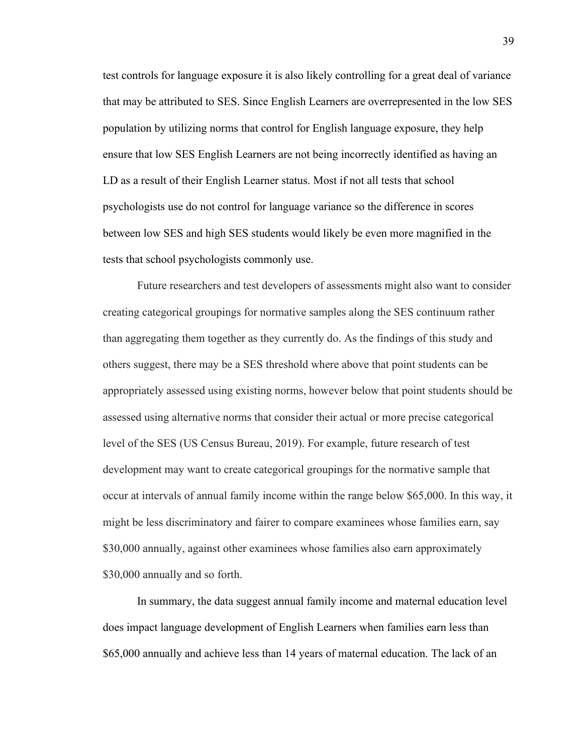test controls for language exposure it is also likely controlling for a great deal of variance that may be attributed to SES. Since English Learners are overrepresented in the low SES population by utilizing norms that control for English language exposure, they help ensure that low SES English Learners are not being incorrectly identified as having an LD as a result of their English Learner status. Most if not all tests that school psychologists use do not control for language variance so the difference in scores between low SES and high SES students would likely be even more magnified in the tests that school psychologists commonly use.

Future researchers and test developers of assessments might also want to consider creating categorical groupings for normative samples along the SES continuum rather than aggregating them together as they currently do. As the findings of this study and others suggest, there may be a SES threshold where above that point students can be appropriately assessed using existing norms, however below that point students should be assessed using alternative norms that consider their actual or more precise categorical level of the SES (US Census Bureau, 2019). For example, future research of test development may want to create categorical groupings for the normative sample that occur at intervals of annual family income within the range below \$65,000. In this way, it might be less discriminatory and fairer to compare examinees whose families earn, say \$30,000 annually, against other examinees whose families also earn approximately \$30,000 annually and so forth.

In summary, the data suggest annual family income and maternal education level does impact language development of English Learners when families earn less than \$65,000 annually and achieve less than 14 years of maternal education. The lack of an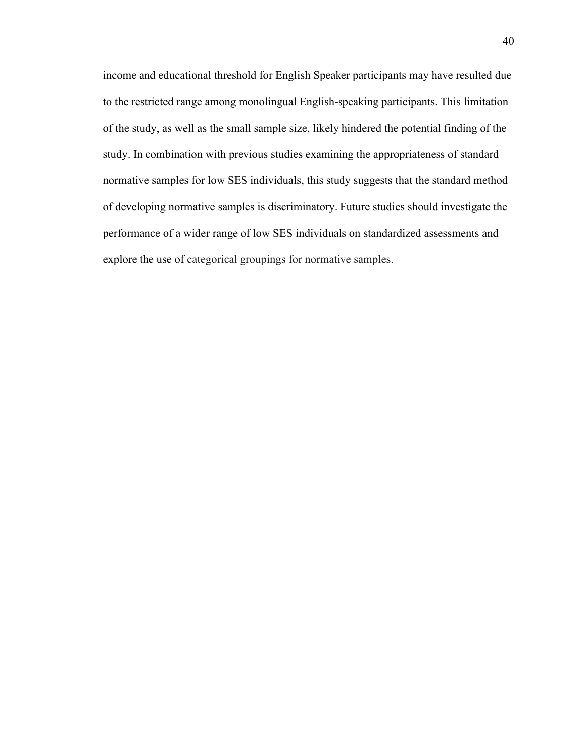income and educational threshold for English Speaker participants may have resulted due to the restricted range among monolingual English-speaking participants. This limitation of the study, as well as the small sample size, likely hindered the potential finding of the study. In combination with previous studies examining the appropriateness of standard normative samples for low SES individuals, this study suggests that the standard method of developing normative samples is discriminatory. Future studies should investigate the performance of a wider range of low SES individuals on standardized assessments and explore the use of categorical groupings for normative samples.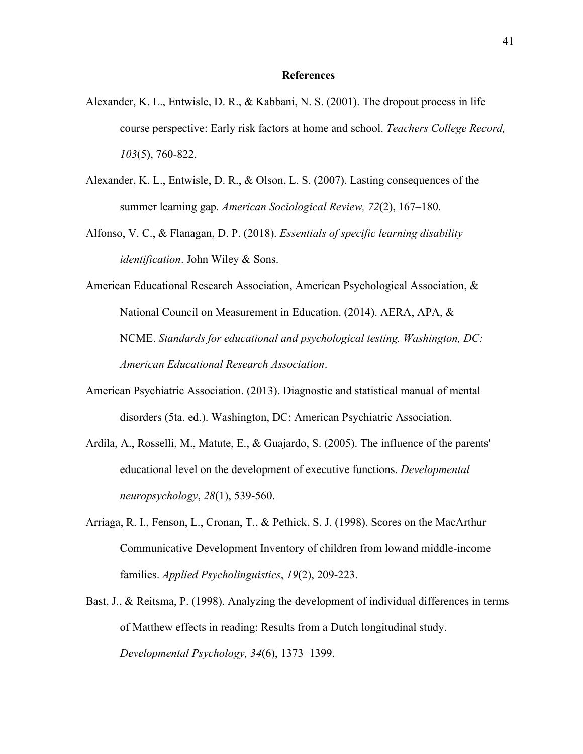## **References**

- Alexander, K. L., Entwisle, D. R., & Kabbani, N. S. (2001). The dropout process in life course perspective: Early risk factors at home and school. *Teachers College Record, 103*(5), 760‐822.
- Alexander, K. L., Entwisle, D. R., & Olson, L. S. (2007). Lasting consequences of the summer learning gap. *American Sociological Review, 72*(2), 167–180.
- Alfonso, V. C., & Flanagan, D. P. (2018). *Essentials of specific learning disability identification*. John Wiley & Sons.
- American Educational Research Association, American Psychological Association, & National Council on Measurement in Education. (2014). AERA, APA, & NCME. *Standards for educational and psychological testing. Washington, DC: American Educational Research Association*.
- American Psychiatric Association. (2013). Diagnostic and statistical manual of mental disorders (5ta. ed.). Washington, DC: American Psychiatric Association.
- Ardila, A., Rosselli, M., Matute, E., & Guajardo, S. (2005). The influence of the parents' educational level on the development of executive functions. *Developmental neuropsychology*, *28*(1), 539-560.
- Arriaga, R. I., Fenson, L., Cronan, T., & Pethick, S. J. (1998). Scores on the MacArthur Communicative Development Inventory of children from lowand middle-income families. *Applied Psycholinguistics*, *19*(2), 209-223.
- Bast, J., & Reitsma, P. (1998). Analyzing the development of individual differences in terms of Matthew effects in reading: Results from a Dutch longitudinal study. *Developmental Psychology, 34*(6), 1373–1399.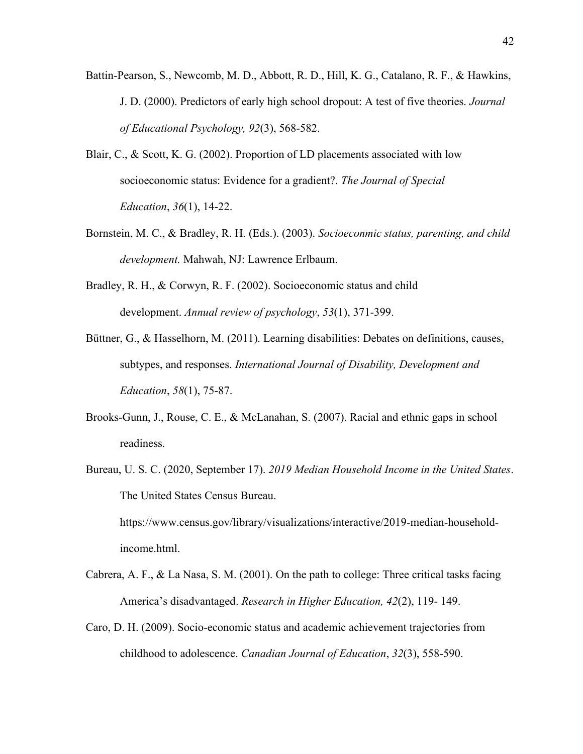- Battin‐Pearson, S., Newcomb, M. D., Abbott, R. D., Hill, K. G., Catalano, R. F., & Hawkins, J. D. (2000). Predictors of early high school dropout: A test of five theories. *Journal of Educational Psychology, 92*(3), 568‐582.
- Blair, C., & Scott, K. G. (2002). Proportion of LD placements associated with low socioeconomic status: Evidence for a gradient?. *The Journal of Special Education*, *36*(1), 14-22.
- Bornstein, M. C., & Bradley, R. H. (Eds.). (2003). *Socioeconmic status, parenting, and child development.* Mahwah, NJ: Lawrence Erlbaum.
- Bradley, R. H., & Corwyn, R. F. (2002). Socioeconomic status and child development. *Annual review of psychology*, *53*(1), 371-399.
- Büttner, G., & Hasselhorn, M. (2011). Learning disabilities: Debates on definitions, causes, subtypes, and responses. *International Journal of Disability, Development and Education*, *58*(1), 75-87.
- Brooks-Gunn, J., Rouse, C. E., & McLanahan, S. (2007). Racial and ethnic gaps in school readiness.
- Bureau, U. S. C. (2020, September 17). *2019 Median Household Income in the United States*. The United States Census Bureau. https://www.census.gov/library/visualizations/interactive/2019-median-householdincome.html.
- Cabrera, A. F., & La Nasa, S. M. (2001). On the path to college: Three critical tasks facing America's disadvantaged. *Research in Higher Education, 42*(2), 119‐ 149.
- Caro, D. H. (2009). Socio-economic status and academic achievement trajectories from childhood to adolescence. *Canadian Journal of Education*, *32*(3), 558-590.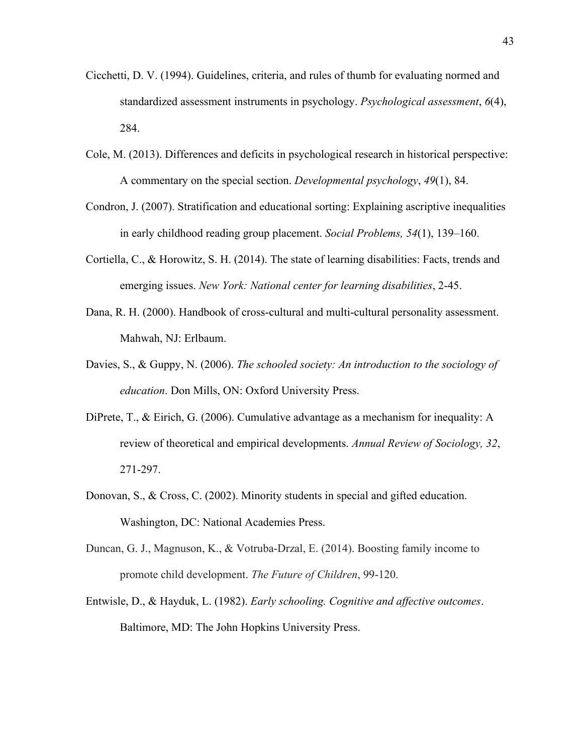- Cicchetti, D. V. (1994). Guidelines, criteria, and rules of thumb for evaluating normed and standardized assessment instruments in psychology. *Psychological assessment*, *6*(4), 284.
- Cole, M. (2013). Differences and deficits in psychological research in historical perspective: A commentary on the special section. *Developmental psychology*, *49*(1), 84.
- Condron, J. (2007). Stratification and educational sorting: Explaining ascriptive inequalities in early childhood reading group placement. *Social Problems, 54*(1), 139–160.
- Cortiella, C., & Horowitz, S. H. (2014). The state of learning disabilities: Facts, trends and emerging issues. *New York: National center for learning disabilities*, 2-45.
- Dana, R. H. (2000). Handbook of cross-cultural and multi-cultural personality assessment. Mahwah, NJ: Erlbaum.
- Davies, S., & Guppy, N. (2006). *The schooled society: An introduction to the sociology of education*. Don Mills, ON: Oxford University Press.
- DiPrete, T., & Eirich, G. (2006). Cumulative advantage as a mechanism for inequality: A review of theoretical and empirical developments. *Annual Review of Sociology, 32*, 271‐297.
- Donovan, S., & Cross, C. (2002). Minority students in special and gifted education. Washington, DC: National Academies Press.
- Duncan, G. J., Magnuson, K., & Votruba-Drzal, E. (2014). Boosting family income to promote child development. *The Future of Children*, 99-120.
- Entwisle, D., & Hayduk, L. (1982). *Early schooling. Cognitive and affective outcomes*. Baltimore, MD: The John Hopkins University Press.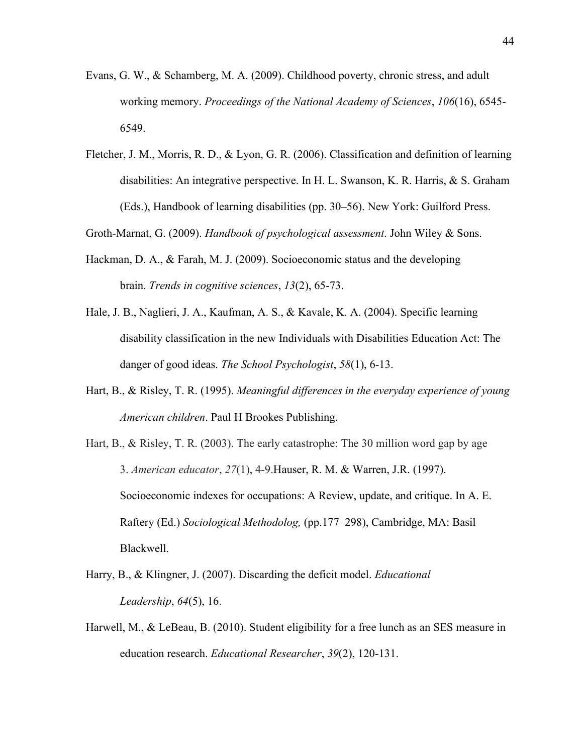- Evans, G. W., & Schamberg, M. A. (2009). Childhood poverty, chronic stress, and adult working memory. *Proceedings of the National Academy of Sciences*, *106*(16), 6545- 6549.
- Fletcher, J. M., Morris, R. D., & Lyon, G. R. (2006). Classification and definition of learning disabilities: An integrative perspective. In H. L. Swanson, K. R. Harris, & S. Graham (Eds.), Handbook of learning disabilities (pp. 30–56). New York: Guilford Press.

Groth-Marnat, G. (2009). *Handbook of psychological assessment*. John Wiley & Sons.

- Hackman, D. A., & Farah, M. J. (2009). Socioeconomic status and the developing brain. *Trends in cognitive sciences*, *13*(2), 65-73.
- Hale, J. B., Naglieri, J. A., Kaufman, A. S., & Kavale, K. A. (2004). Specific learning disability classification in the new Individuals with Disabilities Education Act: The danger of good ideas. *The School Psychologist*, *58*(1), 6-13.
- Hart, B., & Risley, T. R. (1995). *Meaningful differences in the everyday experience of young American children*. Paul H Brookes Publishing.
- Hart, B., & Risley, T. R. (2003). The early catastrophe: The 30 million word gap by age 3. *American educator*, *27*(1), 4-9.Hauser, R. M. & Warren, J.R. (1997). Socioeconomic indexes for occupations: A Review, update, and critique. In A. E. Raftery (Ed.) *Sociological Methodolog,* (pp.177–298), Cambridge, MA: Basil Blackwell.
- Harry, B., & Klingner, J. (2007). Discarding the deficit model. *Educational Leadership*, *64*(5), 16.
- Harwell, M., & LeBeau, B. (2010). Student eligibility for a free lunch as an SES measure in education research. *Educational Researcher*, *39*(2), 120-131.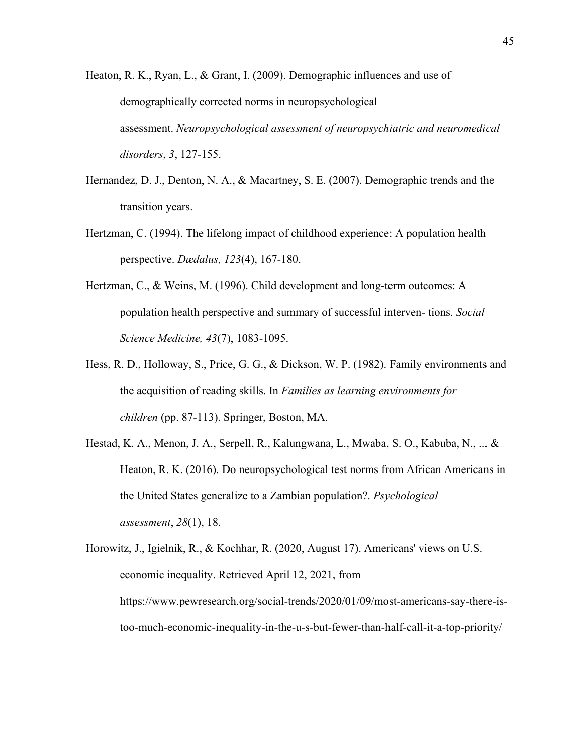Heaton, R. K., Ryan, L., & Grant, I. (2009). Demographic influences and use of demographically corrected norms in neuropsychological assessment. *Neuropsychological assessment of neuropsychiatric and neuromedical disorders*, *3*, 127-155.

- Hernandez, D. J., Denton, N. A., & Macartney, S. E. (2007). Demographic trends and the transition years.
- Hertzman, C. (1994). The lifelong impact of childhood experience: A population health perspective. *Dædalus, 123*(4), 167‐180.
- Hertzman, C., & Weins, M. (1996). Child development and long-term outcomes: A population health perspective and summary of successful interven‐ tions. *Social Science Medicine, 43*(7), 1083‐1095.
- Hess, R. D., Holloway, S., Price, G. G., & Dickson, W. P. (1982). Family environments and the acquisition of reading skills. In *Families as learning environments for children* (pp. 87-113). Springer, Boston, MA.
- Hestad, K. A., Menon, J. A., Serpell, R., Kalungwana, L., Mwaba, S. O., Kabuba, N., ... & Heaton, R. K. (2016). Do neuropsychological test norms from African Americans in the United States generalize to a Zambian population?. *Psychological assessment*, *28*(1), 18.

Horowitz, J., Igielnik, R., & Kochhar, R. (2020, August 17). Americans' views on U.S. economic inequality. Retrieved April 12, 2021, from https://www.pewresearch.org/social-trends/2020/01/09/most-americans-say-there-istoo-much-economic-inequality-in-the-u-s-but-fewer-than-half-call-it-a-top-priority/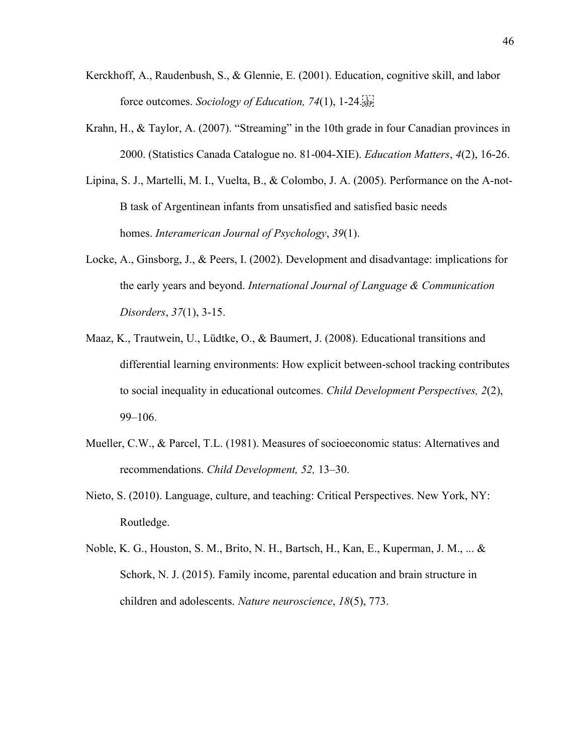- Kerckhoff, A., Raudenbush, S., & Glennie, E. (2001). Education, cognitive skill, and labor force outcomes. *Sociology of Education, 74*(1), 1‐24.
- Krahn, H., & Taylor, A. (2007). "Streaming" in the 10th grade in four Canadian provinces in 2000. (Statistics Canada Catalogue no. 81‐004‐XIE). *Education Matters*, *4*(2), 16‐26.
- Lipina, S. J., Martelli, M. I., Vuelta, B., & Colombo, J. A. (2005). Performance on the A-not-B task of Argentinean infants from unsatisfied and satisfied basic needs homes. *Interamerican Journal of Psychology*, *39*(1).
- Locke, A., Ginsborg, J., & Peers, I. (2002). Development and disadvantage: implications for the early years and beyond. *International Journal of Language & Communication Disorders*, *37*(1), 3-15.
- Maaz, K., Trautwein, U., Lüdtke, O., & Baumert, J. (2008). Educational transitions and differential learning environments: How explicit between‐school tracking contributes to social inequality in educational outcomes. *Child Development Perspectives, 2*(2), 99–106.
- Mueller, C.W., & Parcel, T.L. (1981). Measures of socioeconomic status: Alternatives and recommendations. *Child Development, 52,* 13–30.
- Nieto, S. (2010). Language, culture, and teaching: Critical Perspectives. New York, NY: Routledge.
- Noble, K. G., Houston, S. M., Brito, N. H., Bartsch, H., Kan, E., Kuperman, J. M., ... & Schork, N. J. (2015). Family income, parental education and brain structure in children and adolescents. *Nature neuroscience*, *18*(5), 773.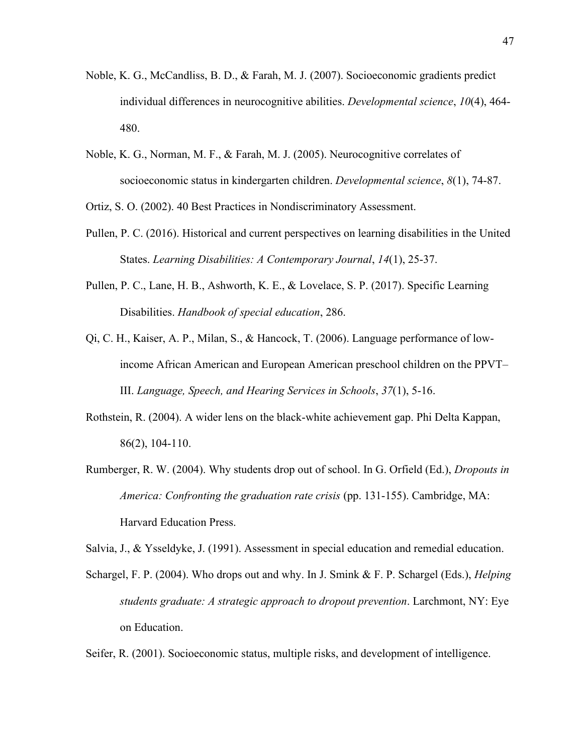- Noble, K. G., McCandliss, B. D., & Farah, M. J. (2007). Socioeconomic gradients predict individual differences in neurocognitive abilities. *Developmental science*, *10*(4), 464- 480.
- Noble, K. G., Norman, M. F., & Farah, M. J. (2005). Neurocognitive correlates of socioeconomic status in kindergarten children. *Developmental science*, *8*(1), 74-87.

Ortiz, S. O. (2002). 40 Best Practices in Nondiscriminatory Assessment.

- Pullen, P. C. (2016). Historical and current perspectives on learning disabilities in the United States. *Learning Disabilities: A Contemporary Journal*, *14*(1), 25-37.
- Pullen, P. C., Lane, H. B., Ashworth, K. E., & Lovelace, S. P. (2017). Specific Learning Disabilities. *Handbook of special education*, 286.
- Qi, C. H., Kaiser, A. P., Milan, S., & Hancock, T. (2006). Language performance of lowincome African American and European American preschool children on the PPVT– III. *Language, Speech, and Hearing Services in Schools*, *37*(1), 5-16.
- Rothstein, R. (2004). A wider lens on the black-white achievement gap. Phi Delta Kappan, 86(2), 104-110.
- Rumberger, R. W. (2004). Why students drop out of school. In G. Orfield (Ed.), *Dropouts in America: Confronting the graduation rate crisis* (pp. 131‐155). Cambridge, MA: Harvard Education Press.

Salvia, J., & Ysseldyke, J. (1991). Assessment in special education and remedial education.

Schargel, F. P. (2004). Who drops out and why. In J. Smink & F. P. Schargel (Eds.), *Helping students graduate: A strategic approach to dropout prevention*. Larchmont, NY: Eye on Education.

Seifer, R. (2001). Socioeconomic status, multiple risks, and development of intelligence.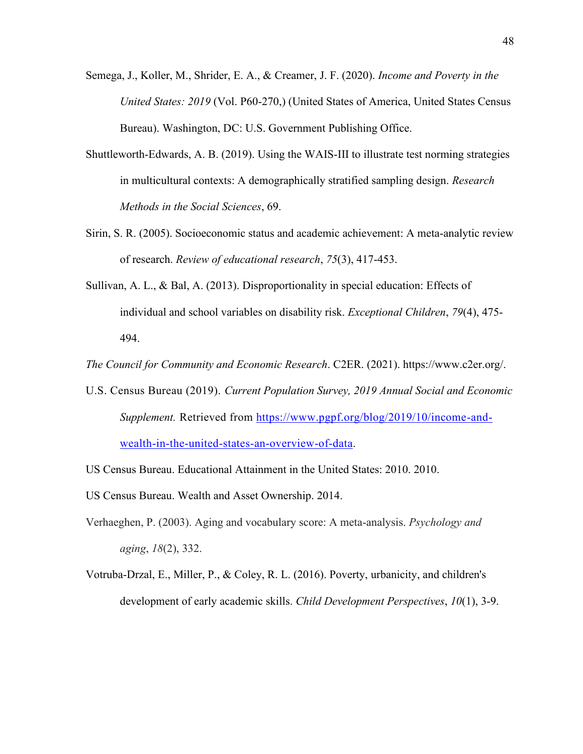- Semega, J., Koller, M., Shrider, E. A., & Creamer, J. F. (2020). *Income and Poverty in the United States: 2019* (Vol. P60-270,) (United States of America, United States Census Bureau). Washington, DC: U.S. Government Publishing Office.
- Shuttleworth-Edwards, A. B. (2019). Using the WAIS-III to illustrate test norming strategies in multicultural contexts: A demographically stratified sampling design. *Research Methods in the Social Sciences*, 69.
- Sirin, S. R. (2005). Socioeconomic status and academic achievement: A meta-analytic review of research. *Review of educational research*, *75*(3), 417-453.
- Sullivan, A. L., & Bal, A. (2013). Disproportionality in special education: Effects of individual and school variables on disability risk. *Exceptional Children*, *79*(4), 475- 494.

*The Council for Community and Economic Research*. C2ER. (2021). https://www.c2er.org/.

- U.S. Census Bureau (2019). *Current Population Survey, 2019 Annual Social and Economic Supplement.* Retrieved from [https://www.pgpf.org/blog/2019/10/income-and](https://www.pgpf.org/blog/2019/10/income-and-wealth-in-the-united-states-an-overview-of-data)[wealth-in-the-united-states-an-overview-of-data.](https://www.pgpf.org/blog/2019/10/income-and-wealth-in-the-united-states-an-overview-of-data)
- US Census Bureau. Educational Attainment in the United States: 2010. 2010.
- US Census Bureau. Wealth and Asset Ownership. 2014.
- Verhaeghen, P. (2003). Aging and vocabulary score: A meta-analysis. *Psychology and aging*, *18*(2), 332.
- Votruba‐Drzal, E., Miller, P., & Coley, R. L. (2016). Poverty, urbanicity, and children's development of early academic skills. *Child Development Perspectives*, *10*(1), 3-9.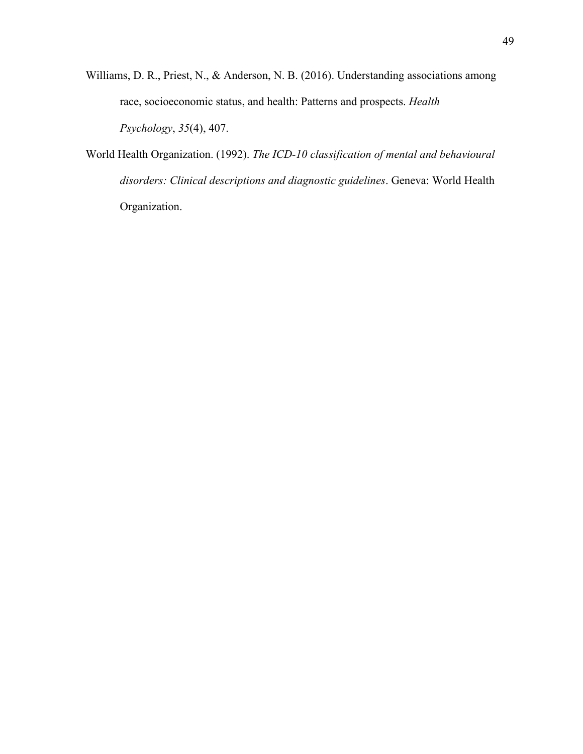- Williams, D. R., Priest, N., & Anderson, N. B. (2016). Understanding associations among race, socioeconomic status, and health: Patterns and prospects. *Health Psychology*, *35*(4), 407.
- World Health Organization. (1992). *The ICD-10 classification of mental and behavioural disorders: Clinical descriptions and diagnostic guidelines*. Geneva: World Health Organization.